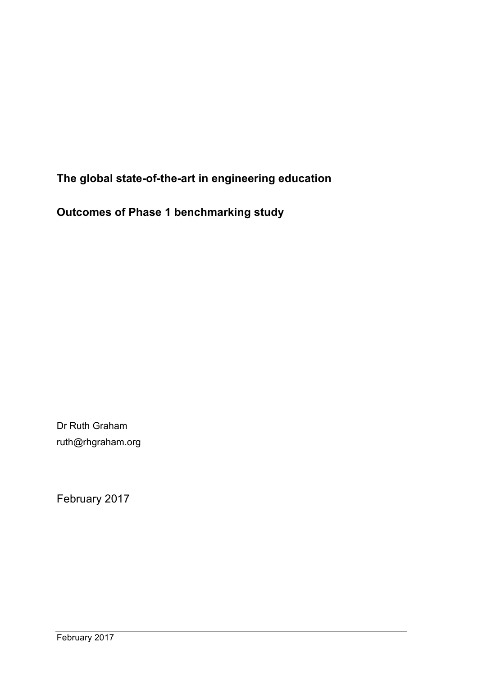**The global state-of-the-art in engineering education**

**Outcomes of Phase 1 benchmarking study**

Dr Ruth Graham ruth@rhgraham.org

February 2017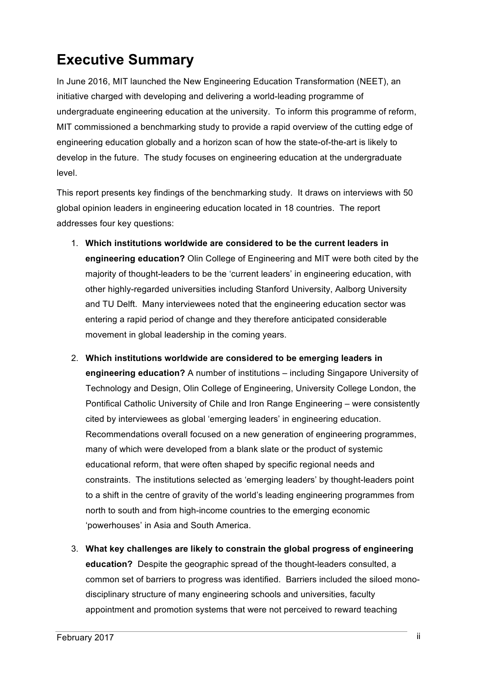# **Executive Summary**

In June 2016, MIT launched the New Engineering Education Transformation (NEET), an initiative charged with developing and delivering a world-leading programme of undergraduate engineering education at the university. To inform this programme of reform, MIT commissioned a benchmarking study to provide a rapid overview of the cutting edge of engineering education globally and a horizon scan of how the state-of-the-art is likely to develop in the future. The study focuses on engineering education at the undergraduate level.

This report presents key findings of the benchmarking study. It draws on interviews with 50 global opinion leaders in engineering education located in 18 countries. The report addresses four key questions:

- 1. **Which institutions worldwide are considered to be the current leaders in engineering education?** Olin College of Engineering and MIT were both cited by the majority of thought-leaders to be the 'current leaders' in engineering education, with other highly-regarded universities including Stanford University, Aalborg University and TU Delft. Many interviewees noted that the engineering education sector was entering a rapid period of change and they therefore anticipated considerable movement in global leadership in the coming years.
- 2. **Which institutions worldwide are considered to be emerging leaders in engineering education?** A number of institutions – including Singapore University of Technology and Design, Olin College of Engineering, University College London, the Pontifical Catholic University of Chile and Iron Range Engineering – were consistently cited by interviewees as global 'emerging leaders' in engineering education. Recommendations overall focused on a new generation of engineering programmes, many of which were developed from a blank slate or the product of systemic educational reform, that were often shaped by specific regional needs and constraints. The institutions selected as 'emerging leaders' by thought-leaders point to a shift in the centre of gravity of the world's leading engineering programmes from north to south and from high-income countries to the emerging economic 'powerhouses' in Asia and South America.
- 3. **What key challenges are likely to constrain the global progress of engineering education?** Despite the geographic spread of the thought-leaders consulted, a common set of barriers to progress was identified. Barriers included the siloed monodisciplinary structure of many engineering schools and universities, faculty appointment and promotion systems that were not perceived to reward teaching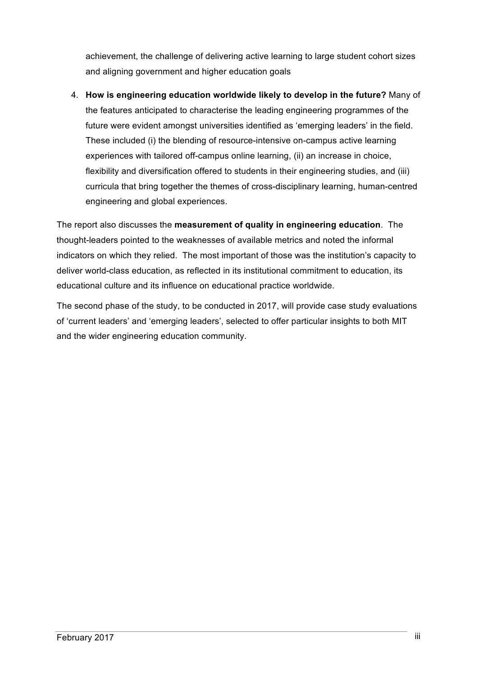achievement, the challenge of delivering active learning to large student cohort sizes and aligning government and higher education goals

4. **How is engineering education worldwide likely to develop in the future?** Many of the features anticipated to characterise the leading engineering programmes of the future were evident amongst universities identified as 'emerging leaders' in the field. These included (i) the blending of resource-intensive on-campus active learning experiences with tailored off-campus online learning, (ii) an increase in choice, flexibility and diversification offered to students in their engineering studies, and (iii) curricula that bring together the themes of cross-disciplinary learning, human-centred engineering and global experiences.

The report also discusses the **measurement of quality in engineering education**. The thought-leaders pointed to the weaknesses of available metrics and noted the informal indicators on which they relied. The most important of those was the institution's capacity to deliver world-class education, as reflected in its institutional commitment to education, its educational culture and its influence on educational practice worldwide.

The second phase of the study, to be conducted in 2017, will provide case study evaluations of 'current leaders' and 'emerging leaders', selected to offer particular insights to both MIT and the wider engineering education community.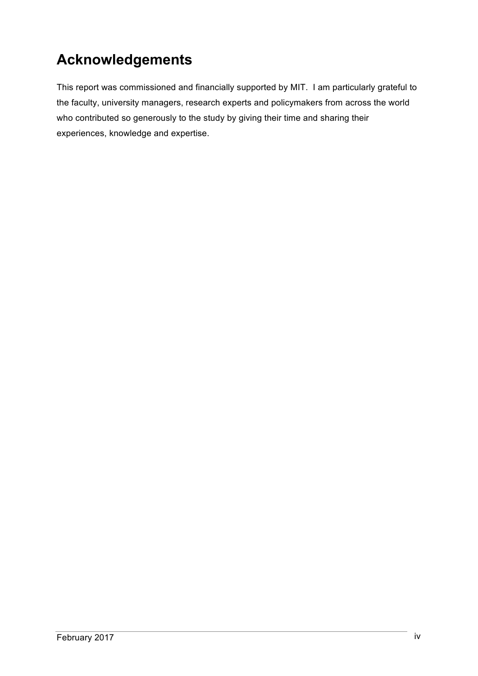# **Acknowledgements**

This report was commissioned and financially supported by MIT. I am particularly grateful to the faculty, university managers, research experts and policymakers from across the world who contributed so generously to the study by giving their time and sharing their experiences, knowledge and expertise.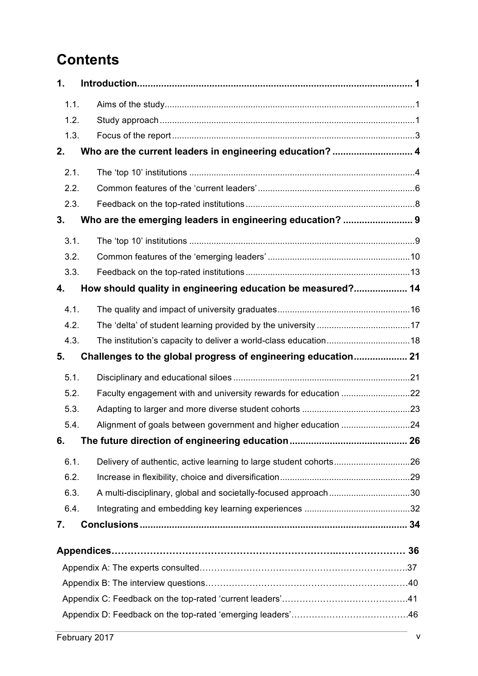# **Contents**

| 1.   |                                                                   |  |
|------|-------------------------------------------------------------------|--|
| 1.1. |                                                                   |  |
| 1.2. |                                                                   |  |
| 1.3. |                                                                   |  |
| 2.   | Who are the current leaders in engineering education?  4          |  |
| 2.1. |                                                                   |  |
| 2.2. |                                                                   |  |
| 2.3. |                                                                   |  |
| 3.   | Who are the emerging leaders in engineering education?  9         |  |
| 3.1. |                                                                   |  |
| 3.2. |                                                                   |  |
| 3.3. |                                                                   |  |
| 4.   | How should quality in engineering education be measured? 14       |  |
| 4.1. |                                                                   |  |
| 4.2. |                                                                   |  |
| 4.3. |                                                                   |  |
|      |                                                                   |  |
| 5.   | Challenges to the global progress of engineering education 21     |  |
| 5.1. |                                                                   |  |
| 5.2. |                                                                   |  |
| 5.3. |                                                                   |  |
| 5.4. |                                                                   |  |
| 6.   |                                                                   |  |
| 6.1. | Delivery of authentic, active learning to large student cohorts26 |  |
| 6.2. |                                                                   |  |
| 6.3. | A multi-disciplinary, global and societally-focused approach30    |  |
| 6.4. |                                                                   |  |
| 7.   |                                                                   |  |
|      |                                                                   |  |
|      |                                                                   |  |
|      |                                                                   |  |
|      |                                                                   |  |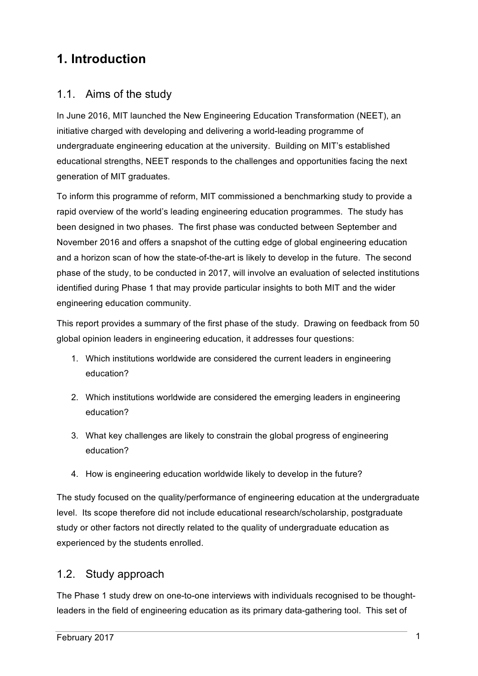# **1. Introduction**

# 1.1. Aims of the study

In June 2016, MIT launched the New Engineering Education Transformation (NEET), an initiative charged with developing and delivering a world-leading programme of undergraduate engineering education at the university. Building on MIT's established educational strengths, NEET responds to the challenges and opportunities facing the next generation of MIT graduates.

To inform this programme of reform, MIT commissioned a benchmarking study to provide a rapid overview of the world's leading engineering education programmes. The study has been designed in two phases. The first phase was conducted between September and November 2016 and offers a snapshot of the cutting edge of global engineering education and a horizon scan of how the state-of-the-art is likely to develop in the future. The second phase of the study, to be conducted in 2017, will involve an evaluation of selected institutions identified during Phase 1 that may provide particular insights to both MIT and the wider engineering education community.

This report provides a summary of the first phase of the study. Drawing on feedback from 50 global opinion leaders in engineering education, it addresses four questions:

- 1. Which institutions worldwide are considered the current leaders in engineering education?
- 2. Which institutions worldwide are considered the emerging leaders in engineering education?
- 3. What key challenges are likely to constrain the global progress of engineering education?
- 4. How is engineering education worldwide likely to develop in the future?

The study focused on the quality/performance of engineering education at the undergraduate level. Its scope therefore did not include educational research/scholarship, postgraduate study or other factors not directly related to the quality of undergraduate education as experienced by the students enrolled.

## 1.2. Study approach

The Phase 1 study drew on one-to-one interviews with individuals recognised to be thoughtleaders in the field of engineering education as its primary data-gathering tool. This set of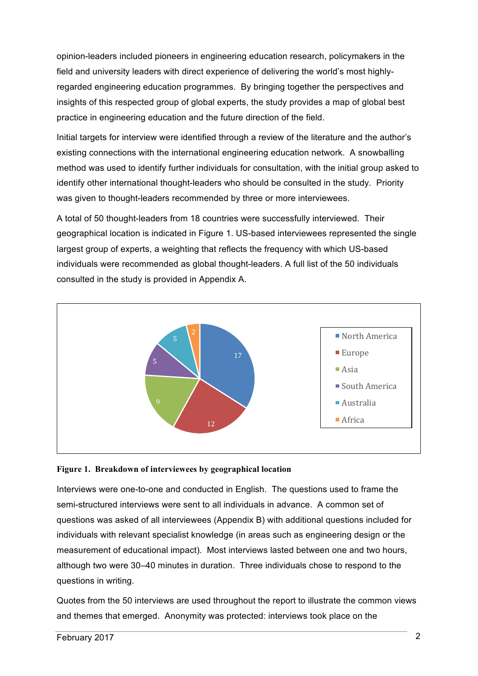opinion-leaders included pioneers in engineering education research, policymakers in the field and university leaders with direct experience of delivering the world's most highlyregarded engineering education programmes. By bringing together the perspectives and insights of this respected group of global experts, the study provides a map of global best practice in engineering education and the future direction of the field.

Initial targets for interview were identified through a review of the literature and the author's existing connections with the international engineering education network. A snowballing method was used to identify further individuals for consultation, with the initial group asked to identify other international thought-leaders who should be consulted in the study. Priority was given to thought-leaders recommended by three or more interviewees.

A total of 50 thought-leaders from 18 countries were successfully interviewed. Their geographical location is indicated in Figure 1. US-based interviewees represented the single largest group of experts, a weighting that reflects the frequency with which US-based individuals were recommended as global thought-leaders. A full list of the 50 individuals consulted in the study is provided in Appendix A.



#### **Figure 1. Breakdown of interviewees by geographical location**

Interviews were one-to-one and conducted in English. The questions used to frame the semi-structured interviews were sent to all individuals in advance. A common set of questions was asked of all interviewees (Appendix B) with additional questions included for individuals with relevant specialist knowledge (in areas such as engineering design or the measurement of educational impact). Most interviews lasted between one and two hours, although two were 30–40 minutes in duration. Three individuals chose to respond to the questions in writing.

Quotes from the 50 interviews are used throughout the report to illustrate the common views and themes that emerged. Anonymity was protected: interviews took place on the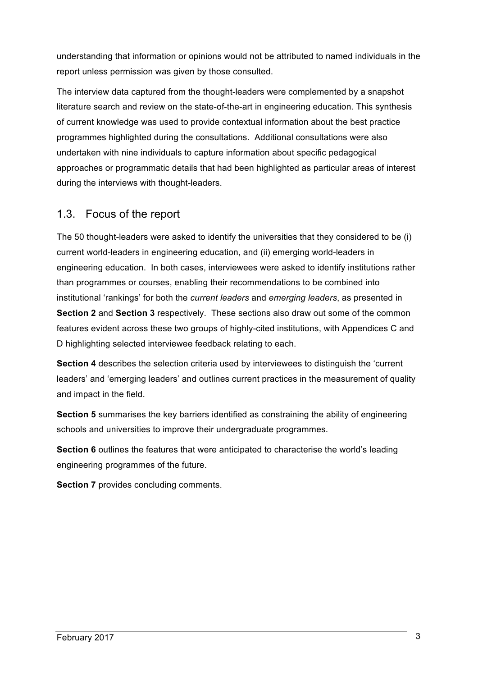understanding that information or opinions would not be attributed to named individuals in the report unless permission was given by those consulted.

The interview data captured from the thought-leaders were complemented by a snapshot literature search and review on the state-of-the-art in engineering education. This synthesis of current knowledge was used to provide contextual information about the best practice programmes highlighted during the consultations. Additional consultations were also undertaken with nine individuals to capture information about specific pedagogical approaches or programmatic details that had been highlighted as particular areas of interest during the interviews with thought-leaders.

## 1.3. Focus of the report

The 50 thought-leaders were asked to identify the universities that they considered to be (i) current world-leaders in engineering education, and (ii) emerging world-leaders in engineering education. In both cases, interviewees were asked to identify institutions rather than programmes or courses, enabling their recommendations to be combined into institutional 'rankings' for both the *current leaders* and *emerging leaders*, as presented in **Section 2** and **Section 3** respectively. These sections also draw out some of the common features evident across these two groups of highly-cited institutions, with Appendices C and D highlighting selected interviewee feedback relating to each.

**Section 4** describes the selection criteria used by interviewees to distinguish the 'current leaders' and 'emerging leaders' and outlines current practices in the measurement of quality and impact in the field.

**Section 5** summarises the key barriers identified as constraining the ability of engineering schools and universities to improve their undergraduate programmes.

**Section 6** outlines the features that were anticipated to characterise the world's leading engineering programmes of the future.

**Section 7** provides concluding comments.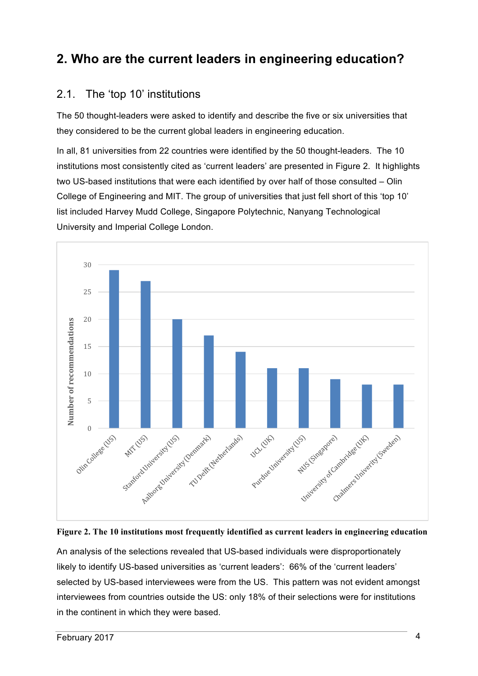# **2. Who are the current leaders in engineering education?**

## 2.1. The 'top 10' institutions

The 50 thought-leaders were asked to identify and describe the five or six universities that they considered to be the current global leaders in engineering education.

In all, 81 universities from 22 countries were identified by the 50 thought-leaders. The 10 institutions most consistently cited as 'current leaders' are presented in Figure 2. It highlights two US-based institutions that were each identified by over half of those consulted – Olin College of Engineering and MIT. The group of universities that just fell short of this 'top 10' list included Harvey Mudd College, Singapore Polytechnic, Nanyang Technological University and Imperial College London.





An analysis of the selections revealed that US-based individuals were disproportionately likely to identify US-based universities as 'current leaders': 66% of the 'current leaders' selected by US-based interviewees were from the US. This pattern was not evident amongst interviewees from countries outside the US: only 18% of their selections were for institutions in the continent in which they were based.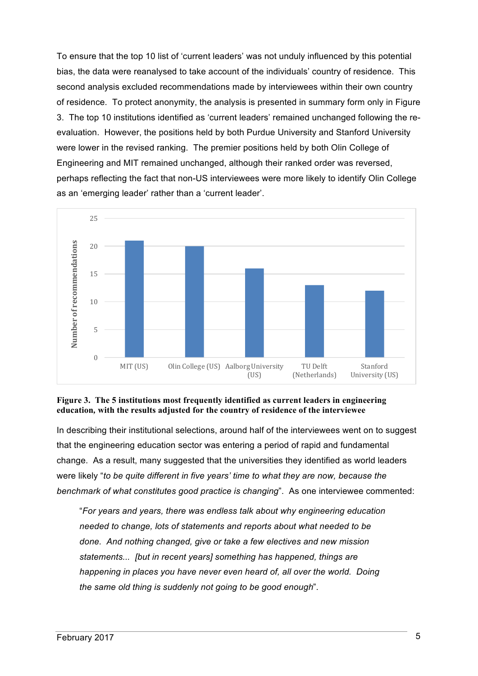To ensure that the top 10 list of 'current leaders' was not unduly influenced by this potential bias, the data were reanalysed to take account of the individuals' country of residence. This second analysis excluded recommendations made by interviewees within their own country of residence. To protect anonymity, the analysis is presented in summary form only in Figure 3. The top 10 institutions identified as 'current leaders' remained unchanged following the reevaluation. However, the positions held by both Purdue University and Stanford University were lower in the revised ranking. The premier positions held by both Olin College of Engineering and MIT remained unchanged, although their ranked order was reversed, perhaps reflecting the fact that non-US interviewees were more likely to identify Olin College as an 'emerging leader' rather than a 'current leader'.



#### **Figure 3. The 5 institutions most frequently identified as current leaders in engineering education***,* **with the results adjusted for the country of residence of the interviewee**

In describing their institutional selections, around half of the interviewees went on to suggest that the engineering education sector was entering a period of rapid and fundamental change. As a result, many suggested that the universities they identified as world leaders were likely "*to be quite different in five years' time to what they are now, because the benchmark of what constitutes good practice is changing*". As one interviewee commented:

"*For years and years, there was endless talk about why engineering education needed to change, lots of statements and reports about what needed to be done. And nothing changed, give or take a few electives and new mission statements... [but in recent years] something has happened, things are happening in places you have never even heard of, all over the world. Doing the same old thing is suddenly not going to be good enough*".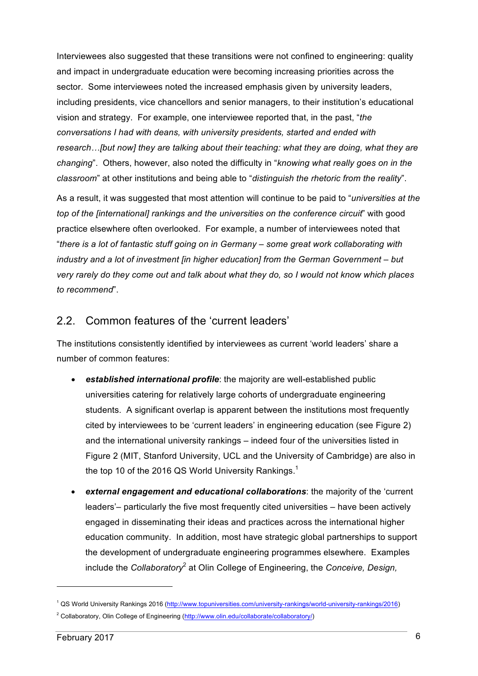Interviewees also suggested that these transitions were not confined to engineering: quality and impact in undergraduate education were becoming increasing priorities across the sector. Some interviewees noted the increased emphasis given by university leaders, including presidents, vice chancellors and senior managers, to their institution's educational vision and strategy. For example, one interviewee reported that, in the past, "*the conversations I had with deans, with university presidents, started and ended with research…[but now] they are talking about their teaching: what they are doing, what they are changing*". Others, however, also noted the difficulty in "*knowing what really goes on in the classroom*" at other institutions and being able to "*distinguish the rhetoric from the reality*".

As a result, it was suggested that most attention will continue to be paid to "*universities at the top of the [international] rankings and the universities on the conference circuit*" with good practice elsewhere often overlooked. For example, a number of interviewees noted that "*there is a lot of fantastic stuff going on in Germany – some great work collaborating with industry and a lot of investment [in higher education] from the German Government – but very rarely do they come out and talk about what they do, so I would not know which places to recommend*".

#### 2.2. Common features of the 'current leaders'

The institutions consistently identified by interviewees as current 'world leaders' share a number of common features:

- *established international profile*: the majority are well-established public universities catering for relatively large cohorts of undergraduate engineering students. A significant overlap is apparent between the institutions most frequently cited by interviewees to be 'current leaders' in engineering education (see Figure 2) and the international university rankings – indeed four of the universities listed in Figure 2 (MIT, Stanford University, UCL and the University of Cambridge) are also in the top 10 of the 2016 QS World University Rankings.<sup>1</sup>
- *external engagement and educational collaborations*: the majority of the 'current leaders'– particularly the five most frequently cited universities – have been actively engaged in disseminating their ideas and practices across the international higher education community. In addition, most have strategic global partnerships to support the development of undergraduate engineering programmes elsewhere. Examples include the *Collaboratory*<sup>2</sup> at Olin College of Engineering, the *Conceive, Design,*

<sup>1</sup> QS World University Rankings 2016 (http://www.topuniversities.com/university-rankings/world-university-rankings/2016)

<sup>&</sup>lt;sup>2</sup> Collaboratory, Olin College of Engineering (http://www.olin.edu/collaborate/collaboratory/)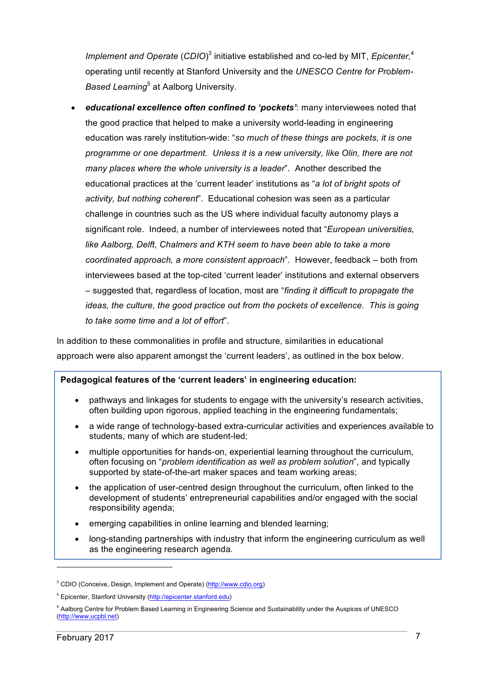Implement and Operate (CDIO)<sup>3</sup> initiative established and co-led by MIT, *Epicenter*,<sup>4</sup> operating until recently at Stanford University and the *UNESCO Centre for Problem-Based Learning*<sup>5</sup> at Aalborg University.

• *educational excellence often confined to 'pockets'*: many interviewees noted that the good practice that helped to make a university world-leading in engineering education was rarely institution-wide: "*so much of these things are pockets, it is one programme or one department. Unless it is a new university, like Olin, there are not many places where the whole university is a leader*". Another described the educational practices at the 'current leader' institutions as "*a lot of bright spots of activity, but nothing coherent*". Educational cohesion was seen as a particular challenge in countries such as the US where individual faculty autonomy plays a significant role. Indeed, a number of interviewees noted that "*European universities, like Aalborg, Delft, Chalmers and KTH seem to have been able to take a more coordinated approach, a more consistent approach*". However, feedback – both from interviewees based at the top-cited 'current leader' institutions and external observers – suggested that, regardless of location, most are "*finding it difficult to propagate the ideas, the culture, the good practice out from the pockets of excellence. This is going to take some time and a lot of effort*".

In addition to these commonalities in profile and structure, similarities in educational approach were also apparent amongst the 'current leaders', as outlined in the box below.

#### **Pedagogical features of the 'current leaders' in engineering education:**

- pathways and linkages for students to engage with the university's research activities, often building upon rigorous, applied teaching in the engineering fundamentals;
- a wide range of technology-based extra-curricular activities and experiences available to students, many of which are student-led;
- multiple opportunities for hands-on, experiential learning throughout the curriculum, often focusing on "*problem identification as well as problem solution*", and typically supported by state-of-the-art maker spaces and team working areas;
- the application of user-centred design throughout the curriculum, often linked to the development of students' entrepreneurial capabilities and/or engaged with the social responsibility agenda;
- emerging capabilities in online learning and blended learning;
- long-standing partnerships with industry that inform the engineering curriculum as well as the engineering research agenda.

<sup>&</sup>lt;sup>3</sup> CDIO (Conceive, Design, Implement and Operate) (http://www.cdio.org)

<sup>4</sup> Epicenter, Stanford University (http://epicenter.stanford.edu)

<sup>5</sup> Aalborg Centre for Problem Based Learning in Engineering Science and Sustainability under the Auspices of UNESCO (http://www.ucpbl.net)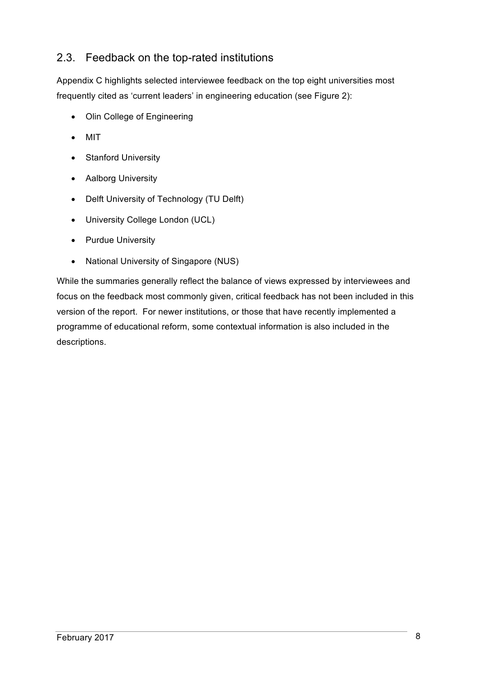# 2.3. Feedback on the top-rated institutions

Appendix C highlights selected interviewee feedback on the top eight universities most frequently cited as 'current leaders' in engineering education (see Figure 2):

- Olin College of Engineering
- MIT
- Stanford University
- Aalborg University
- Delft University of Technology (TU Delft)
- University College London (UCL)
- Purdue University
- National University of Singapore (NUS)

While the summaries generally reflect the balance of views expressed by interviewees and focus on the feedback most commonly given, critical feedback has not been included in this version of the report. For newer institutions, or those that have recently implemented a programme of educational reform, some contextual information is also included in the descriptions.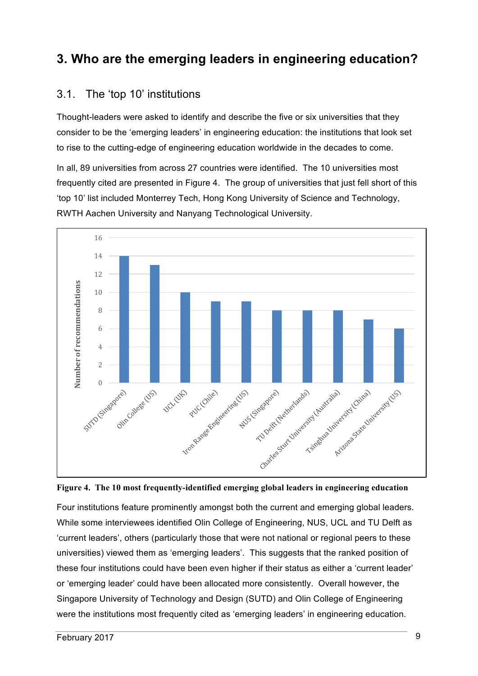# **3. Who are the emerging leaders in engineering education?**

## 3.1. The 'top 10' institutions

Thought-leaders were asked to identify and describe the five or six universities that they consider to be the 'emerging leaders' in engineering education: the institutions that look set to rise to the cutting-edge of engineering education worldwide in the decades to come.

In all, 89 universities from across 27 countries were identified. The 10 universities most frequently cited are presented in Figure 4. The group of universities that just fell short of this 'top 10' list included Monterrey Tech, Hong Kong University of Science and Technology, RWTH Aachen University and Nanyang Technological University.





Four institutions feature prominently amongst both the current and emerging global leaders. While some interviewees identified Olin College of Engineering, NUS, UCL and TU Delft as 'current leaders', others (particularly those that were not national or regional peers to these universities) viewed them as 'emerging leaders'. This suggests that the ranked position of these four institutions could have been even higher if their status as either a 'current leader' or 'emerging leader' could have been allocated more consistently. Overall however, the Singapore University of Technology and Design (SUTD) and Olin College of Engineering were the institutions most frequently cited as 'emerging leaders' in engineering education.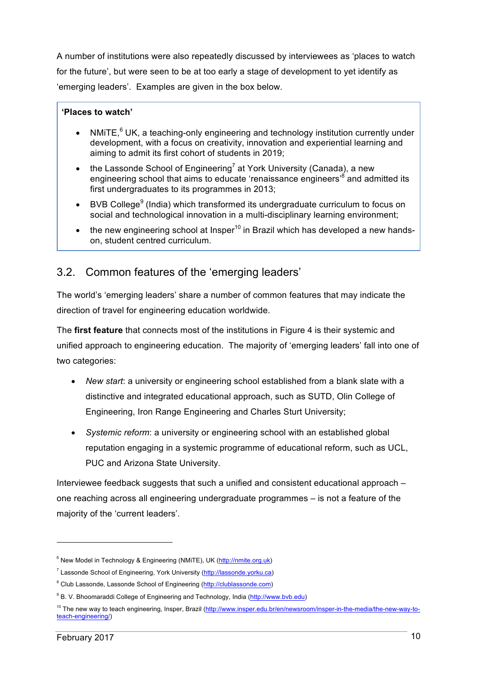A number of institutions were also repeatedly discussed by interviewees as 'places to watch for the future', but were seen to be at too early a stage of development to yet identify as 'emerging leaders'. Examples are given in the box below.

#### **'Places to watch'**

- NMiTE, $^6$  UK, a teaching-only engineering and technology institution currently under development, with a focus on creativity, innovation and experiential learning and aiming to admit its first cohort of students in 2019;
- the Lassonde School of Engineering<sup>7</sup> at York University (Canada), a new engineering school that aims to educate 'renaissance engineers<sup>8</sup> and admitted its first undergraduates to its programmes in 2013;
- BVB College<sup>9</sup> (India) which transformed its undergraduate curriculum to focus on social and technological innovation in a multi-disciplinary learning environment;
- the new engineering school at Insper<sup>10</sup> in Brazil which has developed a new handson, student centred curriculum.

## 3.2. Common features of the 'emerging leaders'

The world's 'emerging leaders' share a number of common features that may indicate the direction of travel for engineering education worldwide.

The **first feature** that connects most of the institutions in Figure 4 is their systemic and unified approach to engineering education. The majority of 'emerging leaders' fall into one of two categories:

- *New start*: a university or engineering school established from a blank slate with a distinctive and integrated educational approach, such as SUTD, Olin College of Engineering, Iron Range Engineering and Charles Sturt University;
- *Systemic reform*: a university or engineering school with an established global reputation engaging in a systemic programme of educational reform, such as UCL, PUC and Arizona State University.

Interviewee feedback suggests that such a unified and consistent educational approach – one reaching across all engineering undergraduate programmes – is not a feature of the majority of the 'current leaders'.

<sup>&</sup>lt;sup>6</sup> New Model in Technology & Engineering (NMiTE), UK (http://nmite.org.uk)

<sup>7</sup> Lassonde School of Engineering, York University (http://lassonde.yorku.ca)

<sup>&</sup>lt;sup>8</sup> Club Lassonde, Lassonde School of Engineering (http://clublassonde.com)

<sup>&</sup>lt;sup>9</sup> B. V. Bhoomaraddi College of Engineering and Technology, India (http://www.byb.edu)

<sup>&</sup>lt;sup>10</sup> The new way to teach engineering, Insper, Brazil (http://www.insper.edu.br/en/newsroom/insper-in-the-media/the-new-way-toteach-engineering/)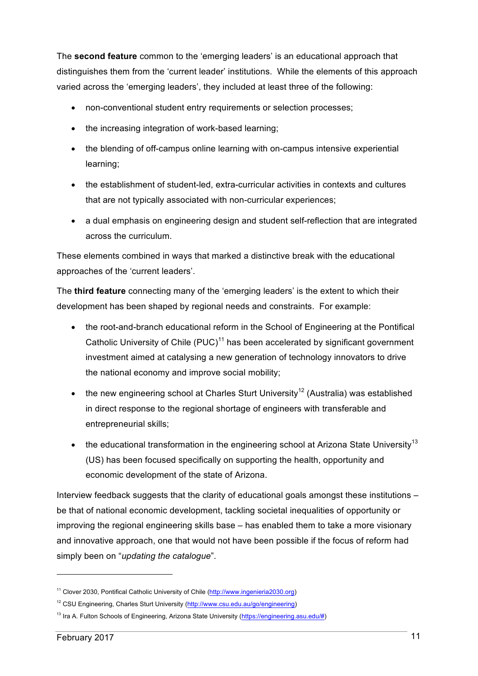The **second feature** common to the 'emerging leaders' is an educational approach that distinguishes them from the 'current leader' institutions. While the elements of this approach varied across the 'emerging leaders', they included at least three of the following:

- non-conventional student entry requirements or selection processes;
- the increasing integration of work-based learning;
- the blending of off-campus online learning with on-campus intensive experiential learning;
- the establishment of student-led, extra-curricular activities in contexts and cultures that are not typically associated with non-curricular experiences;
- a dual emphasis on engineering design and student self-reflection that are integrated across the curriculum.

These elements combined in ways that marked a distinctive break with the educational approaches of the 'current leaders'.

The **third feature** connecting many of the 'emerging leaders' is the extent to which their development has been shaped by regional needs and constraints. For example:

- the root-and-branch educational reform in the School of Engineering at the Pontifical Catholic University of Chile (PUC)<sup>11</sup> has been accelerated by significant government investment aimed at catalysing a new generation of technology innovators to drive the national economy and improve social mobility;
- the new engineering school at Charles Sturt University<sup>12</sup> (Australia) was established in direct response to the regional shortage of engineers with transferable and entrepreneurial skills;
- the educational transformation in the engineering school at Arizona State University<sup>13</sup> (US) has been focused specifically on supporting the health, opportunity and economic development of the state of Arizona.

Interview feedback suggests that the clarity of educational goals amongst these institutions – be that of national economic development, tackling societal inequalities of opportunity or improving the regional engineering skills base – has enabled them to take a more visionary and innovative approach, one that would not have been possible if the focus of reform had simply been on "*updating the catalogue*".

<sup>&</sup>lt;sup>11</sup> Clover 2030, Pontifical Catholic University of Chile (http://www.ingenieria2030.org)

<sup>&</sup>lt;sup>12</sup> CSU Engineering, Charles Sturt University (http://www.csu.edu.au/go/engineering)

<sup>&</sup>lt;sup>13</sup> Ira A. Fulton Schools of Engineering, Arizona State University (https://engineering.asu.edu/#)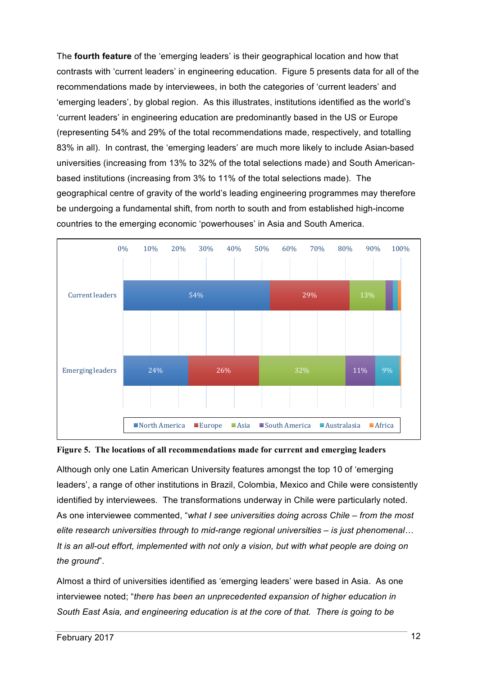The **fourth feature** of the 'emerging leaders' is their geographical location and how that contrasts with 'current leaders' in engineering education. Figure 5 presents data for all of the recommendations made by interviewees, in both the categories of 'current leaders' and 'emerging leaders', by global region. As this illustrates, institutions identified as the world's 'current leaders' in engineering education are predominantly based in the US or Europe (representing 54% and 29% of the total recommendations made, respectively, and totalling 83% in all). In contrast, the 'emerging leaders' are much more likely to include Asian-based universities (increasing from 13% to 32% of the total selections made) and South Americanbased institutions (increasing from 3% to 11% of the total selections made). The geographical centre of gravity of the world's leading engineering programmes may therefore be undergoing a fundamental shift, from north to south and from established high-income countries to the emerging economic 'powerhouses' in Asia and South America.





Although only one Latin American University features amongst the top 10 of 'emerging leaders', a range of other institutions in Brazil, Colombia, Mexico and Chile were consistently identified by interviewees. The transformations underway in Chile were particularly noted. As one interviewee commented, "*what I see universities doing across Chile – from the most elite research universities through to mid-range regional universities – is just phenomenal… It is an all-out effort, implemented with not only a vision, but with what people are doing on the ground*".

Almost a third of universities identified as 'emerging leaders' were based in Asia. As one interviewee noted; "*there has been an unprecedented expansion of higher education in South East Asia, and engineering education is at the core of that. There is going to be*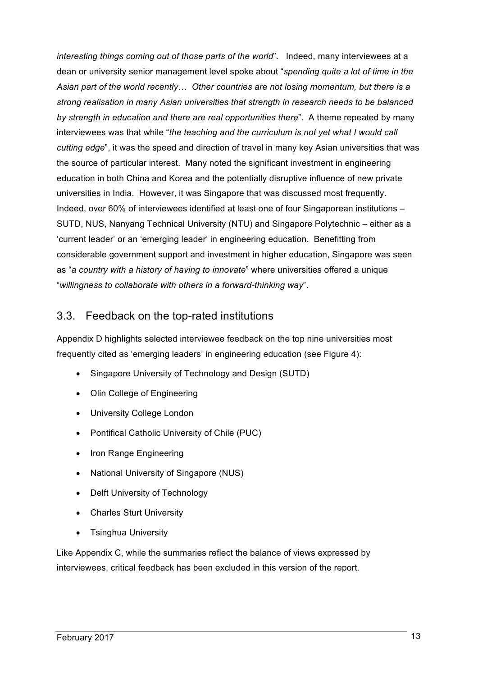*interesting things coming out of those parts of the world*". Indeed, many interviewees at a dean or university senior management level spoke about "*spending quite a lot of time in the Asian part of the world recently… Other countries are not losing momentum, but there is a strong realisation in many Asian universities that strength in research needs to be balanced by strength in education and there are real opportunities there*". A theme repeated by many interviewees was that while "*the teaching and the curriculum is not yet what I would call cutting edge*", it was the speed and direction of travel in many key Asian universities that was the source of particular interest. Many noted the significant investment in engineering education in both China and Korea and the potentially disruptive influence of new private universities in India. However, it was Singapore that was discussed most frequently. Indeed, over 60% of interviewees identified at least one of four Singaporean institutions – SUTD, NUS, Nanyang Technical University (NTU) and Singapore Polytechnic – either as a 'current leader' or an 'emerging leader' in engineering education. Benefitting from considerable government support and investment in higher education, Singapore was seen as "*a country with a history of having to innovate*" where universities offered a unique "*willingness to collaborate with others in a forward-thinking way*".

#### 3.3. Feedback on the top-rated institutions

Appendix D highlights selected interviewee feedback on the top nine universities most frequently cited as 'emerging leaders' in engineering education (see Figure 4):

- Singapore University of Technology and Design (SUTD)
- Olin College of Engineering
- University College London
- Pontifical Catholic University of Chile (PUC)
- Iron Range Engineering
- National University of Singapore (NUS)
- Delft University of Technology
- Charles Sturt University
- Tsinghua University

Like Appendix C, while the summaries reflect the balance of views expressed by interviewees, critical feedback has been excluded in this version of the report.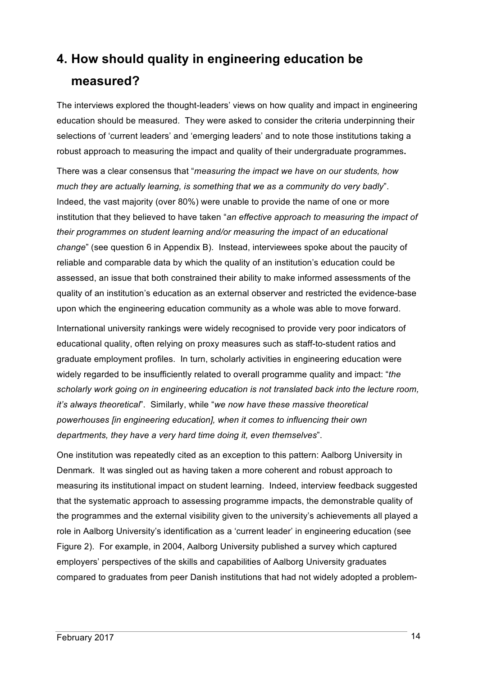# **4. How should quality in engineering education be measured?**

The interviews explored the thought-leaders' views on how quality and impact in engineering education should be measured. They were asked to consider the criteria underpinning their selections of 'current leaders' and 'emerging leaders' and to note those institutions taking a robust approach to measuring the impact and quality of their undergraduate programmes**.**

There was a clear consensus that "*measuring the impact we have on our students, how much they are actually learning, is something that we as a community do very badly*". Indeed, the vast majority (over 80%) were unable to provide the name of one or more institution that they believed to have taken "*an effective approach to measuring the impact of their programmes on student learning and/or measuring the impact of an educational change*" (see question 6 in Appendix B). Instead, interviewees spoke about the paucity of reliable and comparable data by which the quality of an institution's education could be assessed, an issue that both constrained their ability to make informed assessments of the quality of an institution's education as an external observer and restricted the evidence-base upon which the engineering education community as a whole was able to move forward.

International university rankings were widely recognised to provide very poor indicators of educational quality, often relying on proxy measures such as staff-to-student ratios and graduate employment profiles. In turn, scholarly activities in engineering education were widely regarded to be insufficiently related to overall programme quality and impact: "*the scholarly work going on in engineering education is not translated back into the lecture room, it's always theoretical*". Similarly, while "*we now have these massive theoretical powerhouses [in engineering education], when it comes to influencing their own departments, they have a very hard time doing it, even themselves*".

One institution was repeatedly cited as an exception to this pattern: Aalborg University in Denmark. It was singled out as having taken a more coherent and robust approach to measuring its institutional impact on student learning. Indeed, interview feedback suggested that the systematic approach to assessing programme impacts, the demonstrable quality of the programmes and the external visibility given to the university's achievements all played a role in Aalborg University's identification as a 'current leader' in engineering education (see Figure 2). For example, in 2004, Aalborg University published a survey which captured employers' perspectives of the skills and capabilities of Aalborg University graduates compared to graduates from peer Danish institutions that had not widely adopted a problem-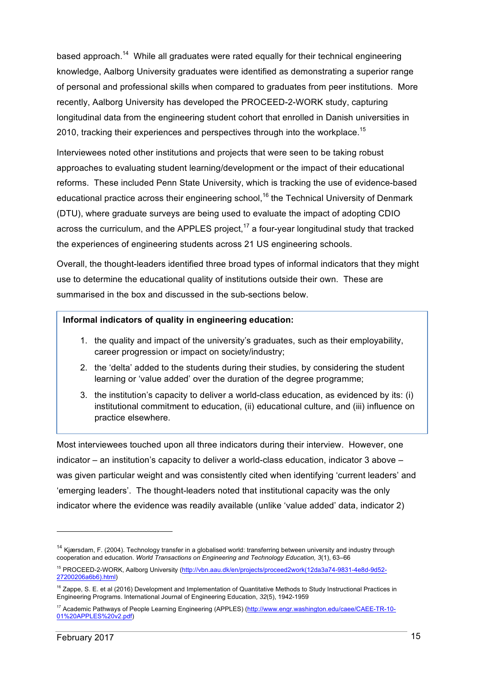based approach.<sup>14</sup> While all graduates were rated equally for their technical engineering knowledge, Aalborg University graduates were identified as demonstrating a superior range of personal and professional skills when compared to graduates from peer institutions. More recently, Aalborg University has developed the PROCEED-2-WORK study, capturing longitudinal data from the engineering student cohort that enrolled in Danish universities in 2010, tracking their experiences and perspectives through into the workplace.<sup>15</sup>

Interviewees noted other institutions and projects that were seen to be taking robust approaches to evaluating student learning/development or the impact of their educational reforms. These included Penn State University, which is tracking the use of evidence-based educational practice across their engineering school,<sup>16</sup> the Technical University of Denmark (DTU), where graduate surveys are being used to evaluate the impact of adopting CDIO across the curriculum, and the APPLES project,<sup>17</sup> a four-year longitudinal study that tracked the experiences of engineering students across 21 US engineering schools.

Overall, the thought-leaders identified three broad types of informal indicators that they might use to determine the educational quality of institutions outside their own. These are summarised in the box and discussed in the sub-sections below.

#### **Informal indicators of quality in engineering education:**

- 1. the quality and impact of the university's graduates, such as their employability, career progression or impact on society/industry;
- 2. the 'delta' added to the students during their studies, by considering the student learning or 'value added' over the duration of the degree programme;
- 3. the institution's capacity to deliver a world-class education, as evidenced by its: (i) institutional commitment to education, (ii) educational culture, and (iii) influence on practice elsewhere.

Most interviewees touched upon all three indicators during their interview. However, one indicator – an institution's capacity to deliver a world-class education, indicator 3 above – was given particular weight and was consistently cited when identifying 'current leaders' and 'emerging leaders'. The thought-leaders noted that institutional capacity was the only indicator where the evidence was readily available (unlike 'value added' data, indicator 2)

<sup>&</sup>lt;sup>14</sup> Kjærsdam, F. (2004). Technology transfer in a globalised world: transferring between university and industry through cooperation and education. *World Transactions on Engineering and Technology Education, 3*(1), 63–66

<sup>15</sup> PROCEED-2-WORK, Aalborg University (http://vbn.aau.dk/en/projects/proceed2work(12da3a74-9831-4e8d-9d52- 27200206a6b6).html)

<sup>&</sup>lt;sup>16</sup> Zappe, S. E. et al (2016) Development and Implementation of Quantitative Methods to Study Instructional Practices in Engineering Programs. International Journal of Engineering Education, *32*(5), 1942-1959

<sup>&</sup>lt;sup>17</sup> Academic Pathways of People Learning Engineering (APPLES) (http://www.engr.washington.edu/caee/CAEE-TR-10-01%20APPLES%20v2.pdf)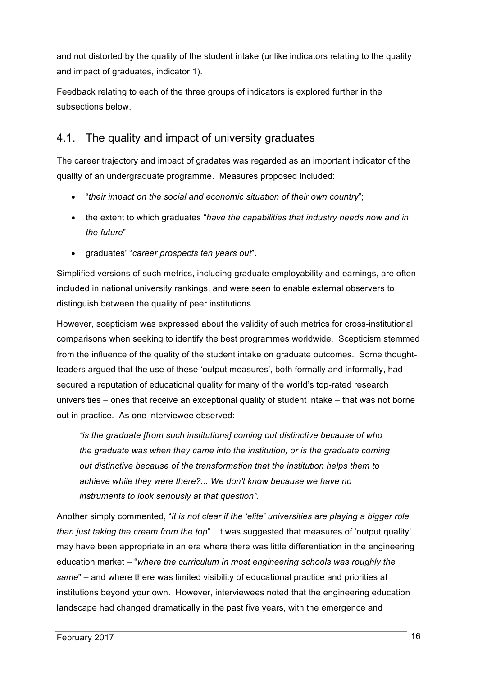and not distorted by the quality of the student intake (unlike indicators relating to the quality and impact of graduates, indicator 1).

Feedback relating to each of the three groups of indicators is explored further in the subsections below.

## 4.1. The quality and impact of university graduates

The career trajectory and impact of gradates was regarded as an important indicator of the quality of an undergraduate programme. Measures proposed included:

- "*their impact on the social and economic situation of their own country*";
- the extent to which graduates "*have the capabilities that industry needs now and in the future*";
- graduates' "*career prospects ten years out*".

Simplified versions of such metrics, including graduate employability and earnings, are often included in national university rankings, and were seen to enable external observers to distinguish between the quality of peer institutions.

However, scepticism was expressed about the validity of such metrics for cross-institutional comparisons when seeking to identify the best programmes worldwide. Scepticism stemmed from the influence of the quality of the student intake on graduate outcomes. Some thoughtleaders argued that the use of these 'output measures', both formally and informally, had secured a reputation of educational quality for many of the world's top-rated research universities – ones that receive an exceptional quality of student intake – that was not borne out in practice. As one interviewee observed:

*"is the graduate [from such institutions] coming out distinctive because of who the graduate was when they came into the institution, or is the graduate coming out distinctive because of the transformation that the institution helps them to achieve while they were there?... We don't know because we have no instruments to look seriously at that question".* 

Another simply commented, "*it is not clear if the 'elite' universities are playing a bigger role than just taking the cream from the top*". It was suggested that measures of 'output quality' may have been appropriate in an era where there was little differentiation in the engineering education market – "*where the curriculum in most engineering schools was roughly the same*" – and where there was limited visibility of educational practice and priorities at institutions beyond your own. However, interviewees noted that the engineering education landscape had changed dramatically in the past five years, with the emergence and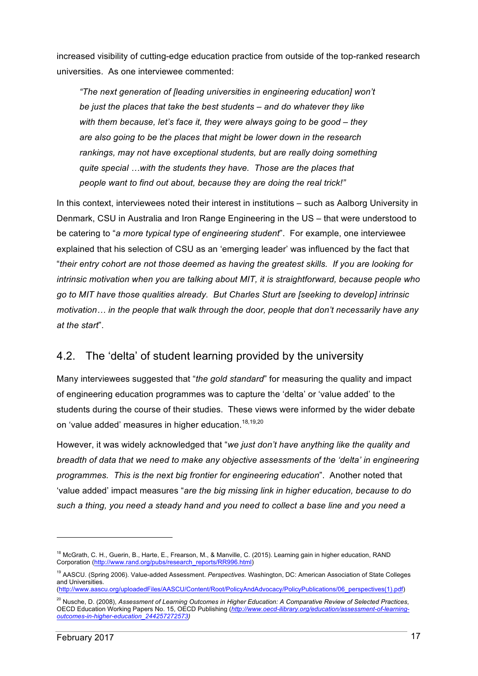increased visibility of cutting-edge education practice from outside of the top-ranked research universities. As one interviewee commented:

*"The next generation of [leading universities in engineering education] won't be just the places that take the best students – and do whatever they like with them because, let's face it, they were always going to be good – they are also going to be the places that might be lower down in the research rankings, may not have exceptional students, but are really doing something quite special …with the students they have. Those are the places that people want to find out about, because they are doing the real trick!"*

In this context, interviewees noted their interest in institutions – such as Aalborg University in Denmark, CSU in Australia and Iron Range Engineering in the US – that were understood to be catering to "*a more typical type of engineering student*". For example, one interviewee explained that his selection of CSU as an 'emerging leader' was influenced by the fact that "*their entry cohort are not those deemed as having the greatest skills. If you are looking for intrinsic motivation when you are talking about MIT, it is straightforward, because people who go to MIT have those qualities already. But Charles Sturt are [seeking to develop] intrinsic motivation… in the people that walk through the door, people that don't necessarily have any at the start*".

## 4.2. The 'delta' of student learning provided by the university

Many interviewees suggested that "*the gold standard*" for measuring the quality and impact of engineering education programmes was to capture the 'delta' or 'value added' to the students during the course of their studies. These views were informed by the wider debate on 'value added' measures in higher education.<sup>18,19,20</sup>

However, it was widely acknowledged that "*we just don't have anything like the quality and breadth of data that we need to make any objective assessments of the 'delta' in engineering programmes. This is the next big frontier for engineering education*". Another noted that 'value added' impact measures "*are the big missing link in higher education, because to do such a thing, you need a steady hand and you need to collect a base line and you need a* 

<sup>&</sup>lt;sup>18</sup> McGrath, C. H., Guerin, B., Harte, E., Frearson, M., & Manville, C. (2015). Learning gain in higher education, RAND Corporation (http://www.rand.org/pubs/research\_reports/RR996.html)

<sup>19</sup> AASCU. (Spring 2006). Value-added Assessment. *Perspectives.* Washington, DC: American Association of State Colleges and Universities.

<sup>(</sup>http://www.aascu.org/uploadedFiles/AASCU/Content/Root/PolicyAndAdvocacy/PolicyPublications/06\_perspectives(1).pdf)

<sup>20</sup> Nusche, D. (2008), *Assessment of Learning Outcomes in Higher Education: A Comparative Review of Selected Practices*, OECD Education Working Papers No. 15, OECD Publishing (*http://www.oecd-ilibrary.org/education/assessment-of-learningoutcomes-in-higher-education\_244257272573)*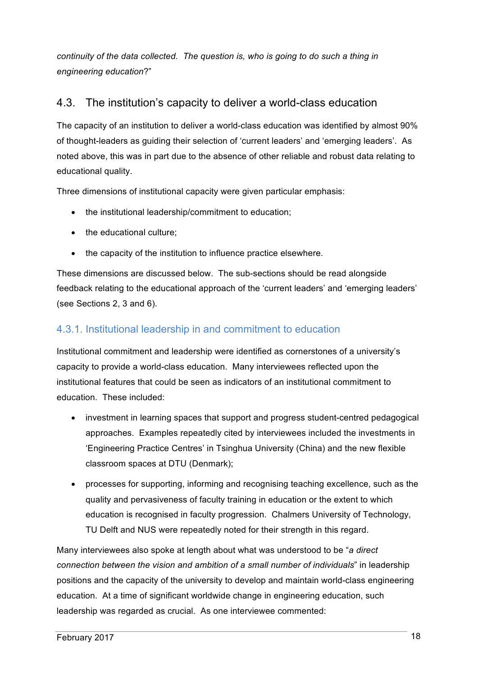*continuity of the data collected. The question is, who is going to do such a thing in engineering education*?"

## 4.3. The institution's capacity to deliver a world-class education

The capacity of an institution to deliver a world-class education was identified by almost 90% of thought-leaders as guiding their selection of 'current leaders' and 'emerging leaders'. As noted above, this was in part due to the absence of other reliable and robust data relating to educational quality.

Three dimensions of institutional capacity were given particular emphasis:

- the institutional leadership/commitment to education;
- the educational culture:
- the capacity of the institution to influence practice elsewhere.

These dimensions are discussed below. The sub-sections should be read alongside feedback relating to the educational approach of the 'current leaders' and 'emerging leaders' (see Sections 2, 3 and 6).

#### 4.3.1. Institutional leadership in and commitment to education

Institutional commitment and leadership were identified as cornerstones of a university's capacity to provide a world-class education. Many interviewees reflected upon the institutional features that could be seen as indicators of an institutional commitment to education. These included:

- investment in learning spaces that support and progress student-centred pedagogical approaches. Examples repeatedly cited by interviewees included the investments in 'Engineering Practice Centres' in Tsinghua University (China) and the new flexible classroom spaces at DTU (Denmark);
- processes for supporting, informing and recognising teaching excellence, such as the quality and pervasiveness of faculty training in education or the extent to which education is recognised in faculty progression. Chalmers University of Technology, TU Delft and NUS were repeatedly noted for their strength in this regard.

Many interviewees also spoke at length about what was understood to be "*a direct connection between the vision and ambition of a small number of individuals*" in leadership positions and the capacity of the university to develop and maintain world-class engineering education. At a time of significant worldwide change in engineering education, such leadership was regarded as crucial. As one interviewee commented: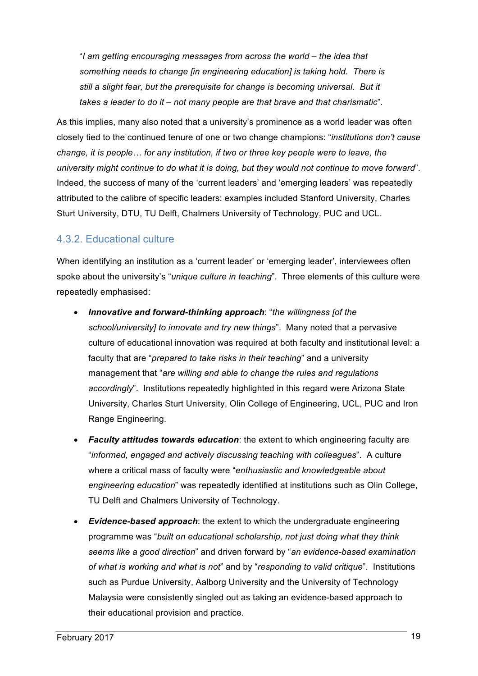"*I am getting encouraging messages from across the world – the idea that something needs to change [in engineering education] is taking hold. There is still a slight fear, but the prerequisite for change is becoming universal. But it takes a leader to do it – not many people are that brave and that charismatic*".

As this implies, many also noted that a university's prominence as a world leader was often closely tied to the continued tenure of one or two change champions: "*institutions don't cause change, it is people… for any institution, if two or three key people were to leave, the university might continue to do what it is doing, but they would not continue to move forward*". Indeed, the success of many of the 'current leaders' and 'emerging leaders' was repeatedly attributed to the calibre of specific leaders: examples included Stanford University, Charles Sturt University, DTU, TU Delft, Chalmers University of Technology, PUC and UCL.

#### 4.3.2. Educational culture

When identifying an institution as a 'current leader' or 'emerging leader', interviewees often spoke about the university's "*unique culture in teaching*". Three elements of this culture were repeatedly emphasised:

- *Innovative and forward-thinking approach*: "*the willingness [of the school/university] to innovate and try new things*". Many noted that a pervasive culture of educational innovation was required at both faculty and institutional level: a faculty that are "*prepared to take risks in their teaching*" and a university management that "*are willing and able to change the rules and regulations accordingly*". Institutions repeatedly highlighted in this regard were Arizona State University, Charles Sturt University, Olin College of Engineering, UCL, PUC and Iron Range Engineering.
- *Faculty attitudes towards education*: the extent to which engineering faculty are "*informed, engaged and actively discussing teaching with colleagues*". A culture where a critical mass of faculty were "*enthusiastic and knowledgeable about engineering education*" was repeatedly identified at institutions such as Olin College, TU Delft and Chalmers University of Technology.
- **Evidence-based approach:** the extent to which the undergraduate engineering programme was "*built on educational scholarship, not just doing what they think seems like a good direction*" and driven forward by "*an evidence-based examination of what is working and what is not*" and by "*responding to valid critique*". Institutions such as Purdue University, Aalborg University and the University of Technology Malaysia were consistently singled out as taking an evidence-based approach to their educational provision and practice.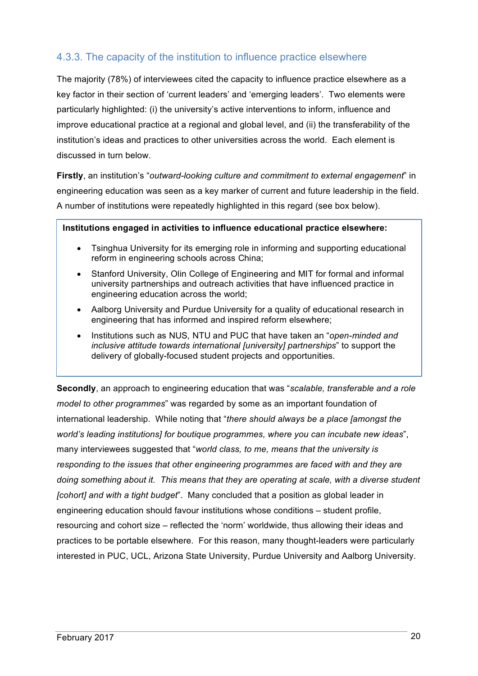#### 4.3.3. The capacity of the institution to influence practice elsewhere

The majority (78%) of interviewees cited the capacity to influence practice elsewhere as a key factor in their section of 'current leaders' and 'emerging leaders'. Two elements were particularly highlighted: (i) the university's active interventions to inform, influence and improve educational practice at a regional and global level, and (ii) the transferability of the institution's ideas and practices to other universities across the world. Each element is discussed in turn below.

**Firstly**, an institution's "*outward-looking culture and commitment to external engagement*" in engineering education was seen as a key marker of current and future leadership in the field. A number of institutions were repeatedly highlighted in this regard (see box below).

#### **Institutions engaged in activities to influence educational practice elsewhere:**

- Tsinghua University for its emerging role in informing and supporting educational reform in engineering schools across China;
- Stanford University, Olin College of Engineering and MIT for formal and informal university partnerships and outreach activities that have influenced practice in engineering education across the world;
- Aalborg University and Purdue University for a quality of educational research in engineering that has informed and inspired reform elsewhere;
- Institutions such as NUS, NTU and PUC that have taken an "*open-minded and inclusive attitude towards international [university] partnerships*" to support the delivery of globally-focused student projects and opportunities.

**Secondly**, an approach to engineering education that was "*scalable, transferable and a role model to other programmes*" was regarded by some as an important foundation of international leadership. While noting that "*there should always be a place [amongst the world's leading institutions] for boutique programmes, where you can incubate new ideas*", many interviewees suggested that "*world class, to me, means that the university is responding to the issues that other engineering programmes are faced with and they are doing something about it. This means that they are operating at scale, with a diverse student [cohort] and with a tight budget*". Many concluded that a position as global leader in engineering education should favour institutions whose conditions – student profile, resourcing and cohort size – reflected the 'norm' worldwide, thus allowing their ideas and practices to be portable elsewhere. For this reason, many thought-leaders were particularly interested in PUC, UCL, Arizona State University, Purdue University and Aalborg University.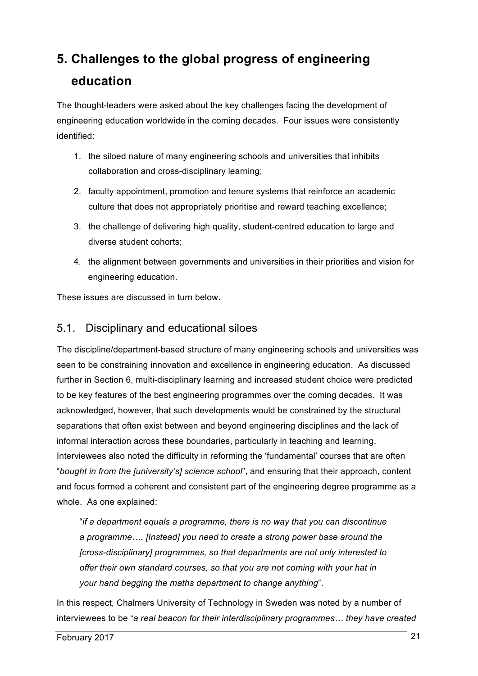# **5. Challenges to the global progress of engineering education**

The thought-leaders were asked about the key challenges facing the development of engineering education worldwide in the coming decades. Four issues were consistently identified:

- 1. the siloed nature of many engineering schools and universities that inhibits collaboration and cross-disciplinary learning;
- 2. faculty appointment, promotion and tenure systems that reinforce an academic culture that does not appropriately prioritise and reward teaching excellence;
- 3. the challenge of delivering high quality, student-centred education to large and diverse student cohorts;
- 4. the alignment between governments and universities in their priorities and vision for engineering education.

These issues are discussed in turn below.

## 5.1. Disciplinary and educational siloes

The discipline/department-based structure of many engineering schools and universities was seen to be constraining innovation and excellence in engineering education. As discussed further in Section 6, multi-disciplinary learning and increased student choice were predicted to be key features of the best engineering programmes over the coming decades. It was acknowledged, however, that such developments would be constrained by the structural separations that often exist between and beyond engineering disciplines and the lack of informal interaction across these boundaries, particularly in teaching and learning. Interviewees also noted the difficulty in reforming the 'fundamental' courses that are often "*bought in from the [university's] science school*", and ensuring that their approach, content and focus formed a coherent and consistent part of the engineering degree programme as a whole. As one explained:

"*if a department equals a programme, there is no way that you can discontinue a programme…. [Instead] you need to create a strong power base around the [cross-disciplinary] programmes, so that departments are not only interested to offer their own standard courses, so that you are not coming with your hat in your hand begging the maths department to change anything*".

In this respect, Chalmers University of Technology in Sweden was noted by a number of interviewees to be "*a real beacon for their interdisciplinary programmes… they have created*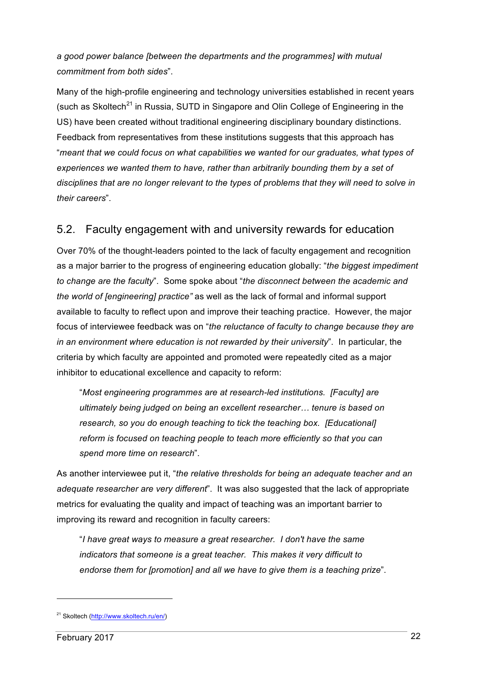#### *a good power balance [between the departments and the programmes] with mutual commitment from both sides*".

Many of the high-profile engineering and technology universities established in recent years (such as Skoltech<sup>21</sup> in Russia, SUTD in Singapore and Olin College of Engineering in the US) have been created without traditional engineering disciplinary boundary distinctions. Feedback from representatives from these institutions suggests that this approach has "*meant that we could focus on what capabilities we wanted for our graduates, what types of experiences we wanted them to have, rather than arbitrarily bounding them by a set of disciplines that are no longer relevant to the types of problems that they will need to solve in their careers*".

## 5.2. Faculty engagement with and university rewards for education

Over 70% of the thought-leaders pointed to the lack of faculty engagement and recognition as a major barrier to the progress of engineering education globally: "*the biggest impediment to change are the faculty*". Some spoke about "*the disconnect between the academic and the world of [engineering] practice"* as well as the lack of formal and informal support available to faculty to reflect upon and improve their teaching practice. However, the major focus of interviewee feedback was on "*the reluctance of faculty to change because they are in an environment where education is not rewarded by their university*". In particular, the criteria by which faculty are appointed and promoted were repeatedly cited as a major inhibitor to educational excellence and capacity to reform:

"*Most engineering programmes are at research-led institutions. [Faculty] are ultimately being judged on being an excellent researcher… tenure is based on research, so you do enough teaching to tick the teaching box. [Educational] reform is focused on teaching people to teach more efficiently so that you can spend more time on research*".

As another interviewee put it, "*the relative thresholds for being an adequate teacher and an adequate researcher are very different*". It was also suggested that the lack of appropriate metrics for evaluating the quality and impact of teaching was an important barrier to improving its reward and recognition in faculty careers:

"*I have great ways to measure a great researcher. I don't have the same indicators that someone is a great teacher. This makes it very difficult to endorse them for [promotion] and all we have to give them is a teaching prize*".

<sup>21</sup> Skoltech (http://www.skoltech.ru/en/)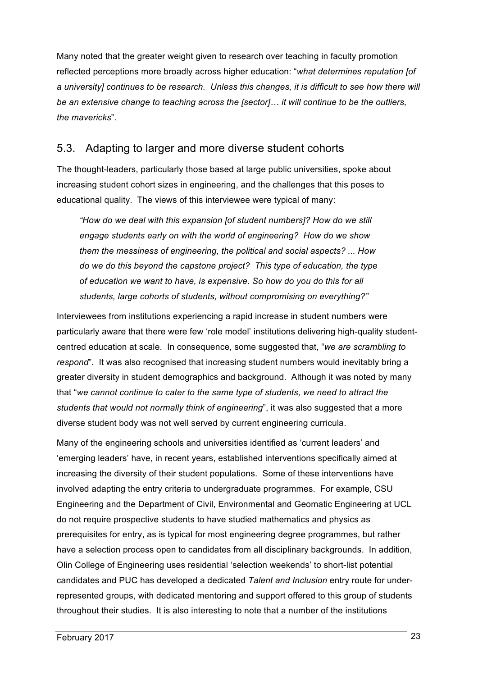Many noted that the greater weight given to research over teaching in faculty promotion reflected perceptions more broadly across higher education: "*what determines reputation [of a university] continues to be research. Unless this changes, it is difficult to see how there will be an extensive change to teaching across the [sector]… it will continue to be the outliers, the mavericks*".

## 5.3. Adapting to larger and more diverse student cohorts

The thought-leaders, particularly those based at large public universities, spoke about increasing student cohort sizes in engineering, and the challenges that this poses to educational quality. The views of this interviewee were typical of many:

*"How do we deal with this expansion [of student numbers]? How do we still engage students early on with the world of engineering? How do we show them the messiness of engineering, the political and social aspects? ... How do we do this beyond the capstone project? This type of education, the type of education we want to have, is expensive. So how do you do this for all students, large cohorts of students, without compromising on everything?"* 

Interviewees from institutions experiencing a rapid increase in student numbers were particularly aware that there were few 'role model' institutions delivering high-quality studentcentred education at scale. In consequence, some suggested that, "*we are scrambling to respond*"*.* It was also recognised that increasing student numbers would inevitably bring a greater diversity in student demographics and background. Although it was noted by many that "*we cannot continue to cater to the same type of students, we need to attract the students that would not normally think of engineering*", it was also suggested that a more diverse student body was not well served by current engineering curricula.

Many of the engineering schools and universities identified as 'current leaders' and 'emerging leaders' have, in recent years, established interventions specifically aimed at increasing the diversity of their student populations. Some of these interventions have involved adapting the entry criteria to undergraduate programmes. For example, CSU Engineering and the Department of Civil, Environmental and Geomatic Engineering at UCL do not require prospective students to have studied mathematics and physics as prerequisites for entry, as is typical for most engineering degree programmes, but rather have a selection process open to candidates from all disciplinary backgrounds. In addition, Olin College of Engineering uses residential 'selection weekends' to short-list potential candidates and PUC has developed a dedicated *Talent and Inclusion* entry route for underrepresented groups, with dedicated mentoring and support offered to this group of students throughout their studies. It is also interesting to note that a number of the institutions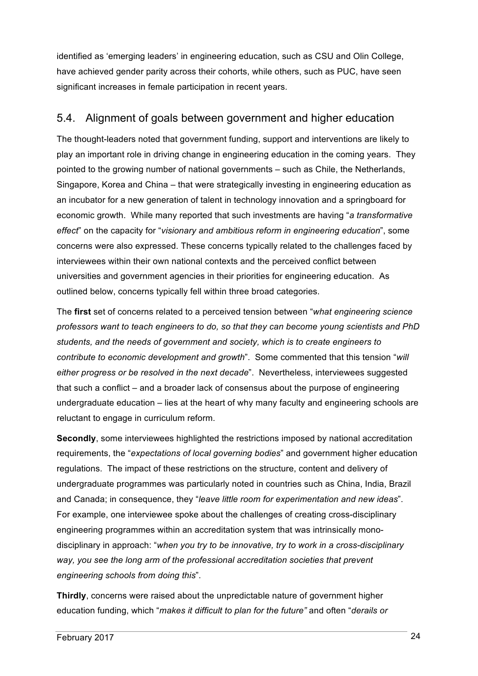identified as 'emerging leaders' in engineering education, such as CSU and Olin College, have achieved gender parity across their cohorts, while others, such as PUC, have seen significant increases in female participation in recent years.

## 5.4. Alignment of goals between government and higher education

The thought-leaders noted that government funding, support and interventions are likely to play an important role in driving change in engineering education in the coming years. They pointed to the growing number of national governments – such as Chile, the Netherlands, Singapore, Korea and China – that were strategically investing in engineering education as an incubator for a new generation of talent in technology innovation and a springboard for economic growth. While many reported that such investments are having "*a transformative effect*" on the capacity for "*visionary and ambitious reform in engineering education*", some concerns were also expressed. These concerns typically related to the challenges faced by interviewees within their own national contexts and the perceived conflict between universities and government agencies in their priorities for engineering education. As outlined below, concerns typically fell within three broad categories.

The **first** set of concerns related to a perceived tension between "*what engineering science professors want to teach engineers to do, so that they can become young scientists and PhD students, and the needs of government and society, which is to create engineers to contribute to economic development and growth*". Some commented that this tension "*will either progress or be resolved in the next decade*". Nevertheless, interviewees suggested that such a conflict – and a broader lack of consensus about the purpose of engineering undergraduate education – lies at the heart of why many faculty and engineering schools are reluctant to engage in curriculum reform.

**Secondly**, some interviewees highlighted the restrictions imposed by national accreditation requirements, the "*expectations of local governing bodies*" and government higher education regulations. The impact of these restrictions on the structure, content and delivery of undergraduate programmes was particularly noted in countries such as China, India, Brazil and Canada; in consequence, they "*leave little room for experimentation and new ideas*". For example, one interviewee spoke about the challenges of creating cross-disciplinary engineering programmes within an accreditation system that was intrinsically monodisciplinary in approach: "*when you try to be innovative, try to work in a cross-disciplinary way, you see the long arm of the professional accreditation societies that prevent engineering schools from doing this*".

**Thirdly**, concerns were raised about the unpredictable nature of government higher education funding, which "*makes it difficult to plan for the future"* and often "*derails or*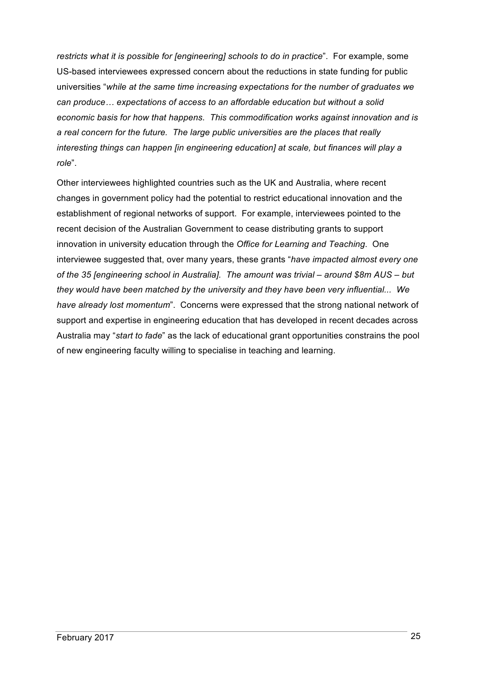*restricts what it is possible for [engineering] schools to do in practice*". For example, some US-based interviewees expressed concern about the reductions in state funding for public universities "*while at the same time increasing expectations for the number of graduates we can produce… expectations of access to an affordable education but without a solid economic basis for how that happens. This commodification works against innovation and is a real concern for the future. The large public universities are the places that really interesting things can happen [in engineering education] at scale, but finances will play a role*".

Other interviewees highlighted countries such as the UK and Australia, where recent changes in government policy had the potential to restrict educational innovation and the establishment of regional networks of support. For example, interviewees pointed to the recent decision of the Australian Government to cease distributing grants to support innovation in university education through the *Office for Learning and Teaching*. One interviewee suggested that, over many years, these grants "*have impacted almost every one of the 35 [engineering school in Australia]. The amount was trivial – around \$8m AUS – but they would have been matched by the university and they have been very influential... We have already lost momentum*". Concerns were expressed that the strong national network of support and expertise in engineering education that has developed in recent decades across Australia may "*start to fade*" as the lack of educational grant opportunities constrains the pool of new engineering faculty willing to specialise in teaching and learning.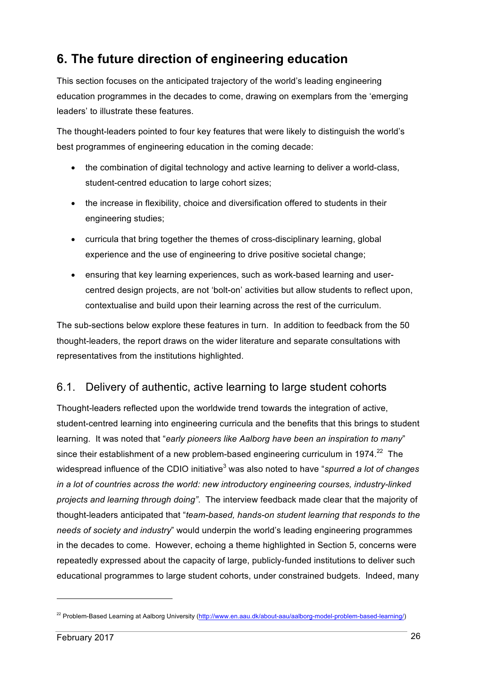# **6. The future direction of engineering education**

This section focuses on the anticipated trajectory of the world's leading engineering education programmes in the decades to come, drawing on exemplars from the 'emerging leaders' to illustrate these features.

The thought-leaders pointed to four key features that were likely to distinguish the world's best programmes of engineering education in the coming decade:

- the combination of digital technology and active learning to deliver a world-class, student-centred education to large cohort sizes;
- the increase in flexibility, choice and diversification offered to students in their engineering studies;
- curricula that bring together the themes of cross-disciplinary learning, global experience and the use of engineering to drive positive societal change;
- ensuring that key learning experiences, such as work-based learning and usercentred design projects, are not 'bolt-on' activities but allow students to reflect upon, contextualise and build upon their learning across the rest of the curriculum.

The sub-sections below explore these features in turn. In addition to feedback from the 50 thought-leaders, the report draws on the wider literature and separate consultations with representatives from the institutions highlighted.

## 6.1. Delivery of authentic, active learning to large student cohorts

Thought-leaders reflected upon the worldwide trend towards the integration of active, student-centred learning into engineering curricula and the benefits that this brings to student learning. It was noted that "*early pioneers like Aalborg have been an inspiration to many*" since their establishment of a new problem-based engineering curriculum in 1974. $^{22}$  The widespread influence of the CDIO initiative<sup>3</sup> was also noted to have "*spurred a lot of changes in a lot of countries across the world: new introductory engineering courses, industry-linked projects and learning through doing"*. The interview feedback made clear that the majority of thought-leaders anticipated that "*team-based, hands-on student learning that responds to the needs of society and industry*" would underpin the world's leading engineering programmes in the decades to come. However, echoing a theme highlighted in Section 5, concerns were repeatedly expressed about the capacity of large, publicly-funded institutions to deliver such educational programmes to large student cohorts, under constrained budgets. Indeed, many

<sup>&</sup>lt;sup>22</sup> Problem-Based Learning at Aalborg University (http://www.en.aau.dk/about-aau/aalborg-model-problem-based-learning/)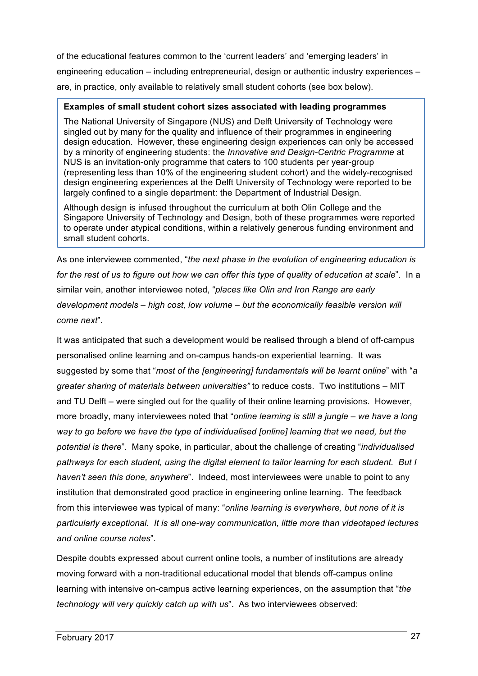of the educational features common to the 'current leaders' and 'emerging leaders' in engineering education – including entrepreneurial, design or authentic industry experiences – are, in practice, only available to relatively small student cohorts (see box below).

#### **Examples of small student cohort sizes associated with leading programmes**

The National University of Singapore (NUS) and Delft University of Technology were singled out by many for the quality and influence of their programmes in engineering design education. However, these engineering design experiences can only be accessed by a minority of engineering students: the *Innovative and Design-Centric Programme* at NUS is an invitation-only programme that caters to 100 students per year-group (representing less than 10% of the engineering student cohort) and the widely-recognised design engineering experiences at the Delft University of Technology were reported to be largely confined to a single department: the Department of Industrial Design.

Although design is infused throughout the curriculum at both Olin College and the Singapore University of Technology and Design, both of these programmes were reported to operate under atypical conditions, within a relatively generous funding environment and small student cohorts.

As one interviewee commented, "*the next phase in the evolution of engineering education is for the rest of us to figure out how we can offer this type of quality of education at scale*". In a similar vein, another interviewee noted, "*places like Olin and Iron Range are early development models – high cost, low volume – but the economically feasible version will come next*".

It was anticipated that such a development would be realised through a blend of off-campus personalised online learning and on-campus hands-on experiential learning. It was suggested by some that "*most of the [engineering] fundamentals will be learnt online*" with "*a greater sharing of materials between universities"* to reduce costs. Two institutions – MIT and TU Delft – were singled out for the quality of their online learning provisions. However, more broadly, many interviewees noted that "*online learning is still a jungle – we have a long way to go before we have the type of individualised [online] learning that we need, but the potential is there*". Many spoke, in particular, about the challenge of creating "*individualised pathways for each student, using the digital element to tailor learning for each student. But I haven't seen this done, anywhere*". Indeed, most interviewees were unable to point to any institution that demonstrated good practice in engineering online learning. The feedback from this interviewee was typical of many: "*online learning is everywhere, but none of it is particularly exceptional. It is all one-way communication, little more than videotaped lectures and online course notes*".

Despite doubts expressed about current online tools, a number of institutions are already moving forward with a non-traditional educational model that blends off-campus online learning with intensive on-campus active learning experiences, on the assumption that "*the technology will very quickly catch up with us*". As two interviewees observed: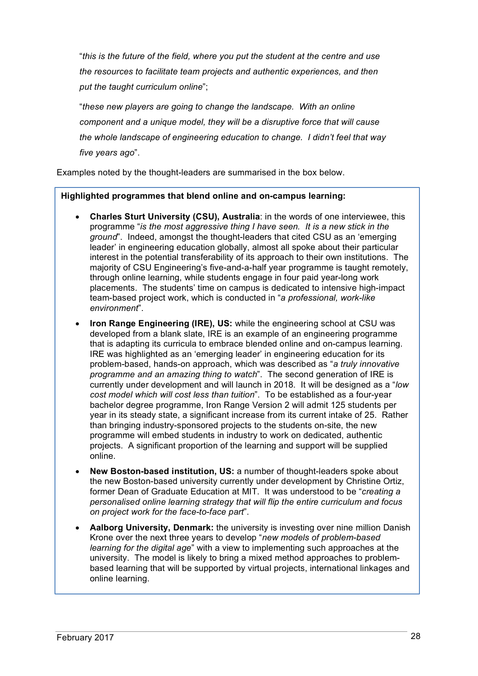"*this is the future of the field, where you put the student at the centre and use the resources to facilitate team projects and authentic experiences, and then put the taught curriculum online*";

"*these new players are going to change the landscape. With an online component and a unique model, they will be a disruptive force that will cause the whole landscape of engineering education to change. I didn't feel that way five years ago*".

Examples noted by the thought-leaders are summarised in the box below.

#### **Highlighted programmes that blend online and on-campus learning:**

- **Charles Sturt University (CSU), Australia**: in the words of one interviewee, this programme "*is the most aggressive thing I have seen. It is a new stick in the ground*". Indeed, amongst the thought-leaders that cited CSU as an 'emerging leader' in engineering education globally, almost all spoke about their particular interest in the potential transferability of its approach to their own institutions. The majority of CSU Engineering's five-and-a-half year programme is taught remotely, through online learning, while students engage in four paid year-long work placements. The students' time on campus is dedicated to intensive high-impact team-based project work, which is conducted in "*a professional, work-like environment*".
- **Iron Range Engineering (IRE), US:** while the engineering school at CSU was developed from a blank slate, IRE is an example of an engineering programme that is adapting its curricula to embrace blended online and on-campus learning. IRE was highlighted as an 'emerging leader' in engineering education for its problem-based, hands-on approach, which was described as "*a truly innovative programme and an amazing thing to watch*". The second generation of IRE is currently under development and will launch in 2018. It will be designed as a "*low cost model which will cost less than tuition*". To be established as a four-year bachelor degree programme, Iron Range Version 2 will admit 125 students per year in its steady state, a significant increase from its current intake of 25. Rather than bringing industry-sponsored projects to the students on-site, the new programme will embed students in industry to work on dedicated, authentic projects. A significant proportion of the learning and support will be supplied online.
- **New Boston-based institution, US:** a number of thought-leaders spoke about the new Boston-based university currently under development by Christine Ortiz, former Dean of Graduate Education at MIT. It was understood to be "*creating a personalised online learning strategy that will flip the entire curriculum and focus on project work for the face-to-face part*".
- **Aalborg University, Denmark:** the university is investing over nine million Danish Krone over the next three years to develop "*new models of problem-based learning for the digital age*" with a view to implementing such approaches at the university. The model is likely to bring a mixed method approaches to problembased learning that will be supported by virtual projects, international linkages and online learning.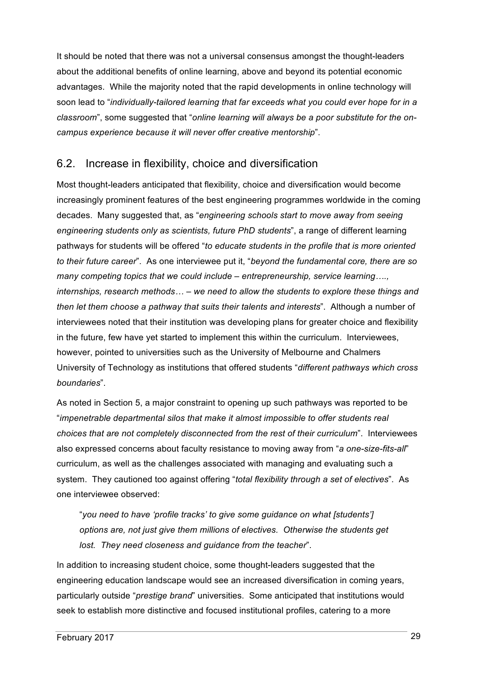It should be noted that there was not a universal consensus amongst the thought-leaders about the additional benefits of online learning, above and beyond its potential economic advantages. While the majority noted that the rapid developments in online technology will soon lead to "*individually-tailored learning that far exceeds what you could ever hope for in a classroom*", some suggested that "*online learning will always be a poor substitute for the oncampus experience because it will never offer creative mentorship*".

#### 6.2. Increase in flexibility, choice and diversification

Most thought-leaders anticipated that flexibility, choice and diversification would become increasingly prominent features of the best engineering programmes worldwide in the coming decades. Many suggested that, as "*engineering schools start to move away from seeing engineering students only as scientists, future PhD students*", a range of different learning pathways for students will be offered "*to educate students in the profile that is more oriented to their future career*". As one interviewee put it, "*beyond the fundamental core, there are so many competing topics that we could include – entrepreneurship, service learning…., internships, research methods… – we need to allow the students to explore these things and then let them choose a pathway that suits their talents and interests*". Although a number of interviewees noted that their institution was developing plans for greater choice and flexibility in the future, few have yet started to implement this within the curriculum. Interviewees, however, pointed to universities such as the University of Melbourne and Chalmers University of Technology as institutions that offered students "*different pathways which cross boundaries*".

As noted in Section 5, a major constraint to opening up such pathways was reported to be "*impenetrable departmental silos that make it almost impossible to offer students real choices that are not completely disconnected from the rest of their curriculum*". Interviewees also expressed concerns about faculty resistance to moving away from "*a one-size-fits-all*" curriculum, as well as the challenges associated with managing and evaluating such a system. They cautioned too against offering "*total flexibility through a set of electives*". As one interviewee observed:

"*you need to have 'profile tracks' to give some guidance on what [students'] options are, not just give them millions of electives. Otherwise the students get lost. They need closeness and guidance from the teacher*".

In addition to increasing student choice, some thought-leaders suggested that the engineering education landscape would see an increased diversification in coming years, particularly outside "*prestige brand*" universities. Some anticipated that institutions would seek to establish more distinctive and focused institutional profiles, catering to a more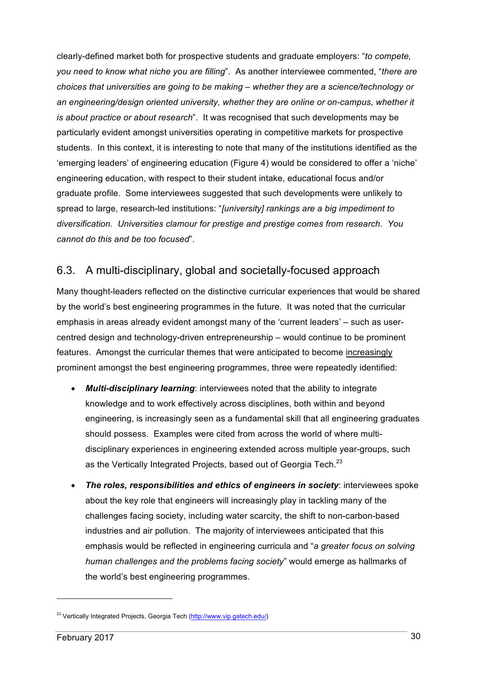clearly-defined market both for prospective students and graduate employers: "*to compete, you need to know what niche you are filling*". As another interviewee commented, "*there are choices that universities are going to be making – whether they are a science/technology or an engineering/design oriented university, whether they are online or on-campus, whether it is about practice or about research*". It was recognised that such developments may be particularly evident amongst universities operating in competitive markets for prospective students. In this context, it is interesting to note that many of the institutions identified as the 'emerging leaders' of engineering education (Figure 4) would be considered to offer a 'niche' engineering education, with respect to their student intake, educational focus and/or graduate profile. Some interviewees suggested that such developments were unlikely to spread to large, research-led institutions: "*[university] rankings are a big impediment to diversification. Universities clamour for prestige and prestige comes from research. You cannot do this and be too focused*".

## 6.3. A multi-disciplinary, global and societally-focused approach

Many thought-leaders reflected on the distinctive curricular experiences that would be shared by the world's best engineering programmes in the future. It was noted that the curricular emphasis in areas already evident amongst many of the 'current leaders' – such as usercentred design and technology-driven entrepreneurship – would continue to be prominent features. Amongst the curricular themes that were anticipated to become increasingly prominent amongst the best engineering programmes, three were repeatedly identified:

- *Multi-disciplinary learning*: interviewees noted that the ability to integrate knowledge and to work effectively across disciplines, both within and beyond engineering, is increasingly seen as a fundamental skill that all engineering graduates should possess. Examples were cited from across the world of where multidisciplinary experiences in engineering extended across multiple year-groups, such as the Vertically Integrated Projects, based out of Georgia Tech.<sup>23</sup>
- *The roles, responsibilities and ethics of engineers in society*: interviewees spoke about the key role that engineers will increasingly play in tackling many of the challenges facing society, including water scarcity, the shift to non-carbon-based industries and air pollution. The majority of interviewees anticipated that this emphasis would be reflected in engineering curricula and "*a greater focus on solving human challenges and the problems facing society*" would emerge as hallmarks of the world's best engineering programmes.

<sup>&</sup>lt;sup>23</sup> Vertically Integrated Projects, Georgia Tech (http://www.vip.gatech.edu/)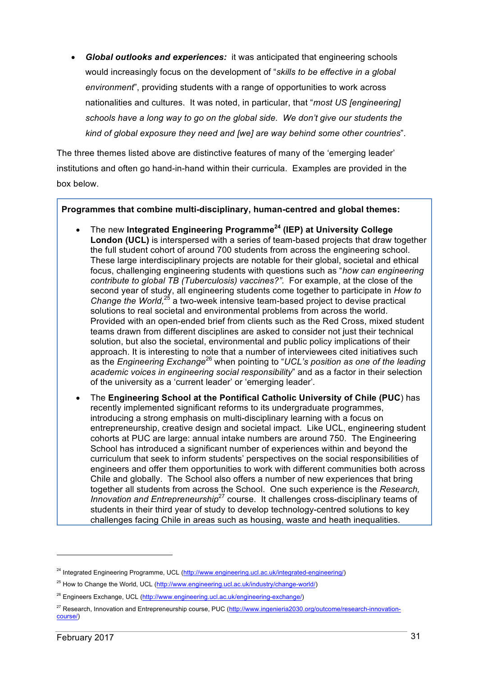• *Global outlooks and experiences:* it was anticipated that engineering schools would increasingly focus on the development of "*skills to be effective in a global environment*", providing students with a range of opportunities to work across nationalities and cultures. It was noted, in particular, that "*most US [engineering] schools have a long way to go on the global side. We don't give our students the kind of global exposure they need and [we] are way behind some other countries*".

The three themes listed above are distinctive features of many of the 'emerging leader' institutions and often go hand-in-hand within their curricula. Examples are provided in the box below.

#### **Programmes that combine multi-disciplinary, human-centred and global themes:**

- The new **Integrated Engineering Programme<sup>24</sup> (IEP) at University College London (UCL)** is interspersed with a series of team-based projects that draw together the full student cohort of around 700 students from across the engineering school. These large interdisciplinary projects are notable for their global, societal and ethical focus, challenging engineering students with questions such as "*how can engineering contribute to global TB (Tuberculosis) vaccines?".* For example, at the close of the second year of study, all engineering students come together to participate in *How to*  Change the World,<sup>25</sup> a two-week intensive team-based project to devise practical solutions to real societal and environmental problems from across the world. Provided with an open-ended brief from clients such as the Red Cross, mixed student teams drawn from different disciplines are asked to consider not just their technical solution, but also the societal, environmental and public policy implications of their approach. It is interesting to note that a number of interviewees cited initiatives such as the *Engineering Exchange*<sup>26</sup> when pointing to "*UCL's position as one of the leading academic voices in engineering social responsibility*" and as a factor in their selection of the university as a 'current leader' or 'emerging leader'*.*
- The **Engineering School at the Pontifical Catholic University of Chile (PUC**) has recently implemented significant reforms to its undergraduate programmes, introducing a strong emphasis on multi-disciplinary learning with a focus on entrepreneurship, creative design and societal impact. Like UCL, engineering student cohorts at PUC are large: annual intake numbers are around 750. The Engineering School has introduced a significant number of experiences within and beyond the curriculum that seek to inform students' perspectives on the social responsibilities of engineers and offer them opportunities to work with different communities both across Chile and globally. The School also offers a number of new experiences that bring together all students from across the School. One such experience is the *Research, Innovation and Entrepreneurship<sup>27</sup>* course. It challenges cross-disciplinary teams of students in their third year of study to develop technology-centred solutions to key challenges facing Chile in areas such as housing, waste and heath inequalities.

<sup>&</sup>lt;sup>24</sup> Integrated Engineering Programme, UCL (http://www.engineering.ucl.ac.uk/integrated-engineering/)

<sup>&</sup>lt;sup>25</sup> How to Change the World, UCL (http://www.engineering.ucl.ac.uk/industry/change-world/)

<sup>&</sup>lt;sup>26</sup> Engineers Exchange, UCL (http://www.engineering.ucl.ac.uk/engineering-exchange/)

<sup>&</sup>lt;sup>27</sup> Research, Innovation and Entrepreneurship course, PUC (http://www.ingenieria2030.org/outcome/research-innovationcourse/)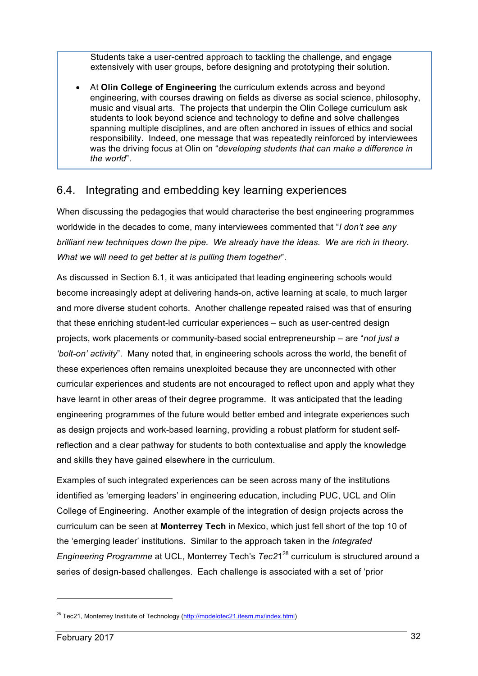Students take a user-centred approach to tackling the challenge, and engage extensively with user groups, before designing and prototyping their solution.

• At **Olin College of Engineering** the curriculum extends across and beyond engineering, with courses drawing on fields as diverse as social science, philosophy, music and visual arts. The projects that underpin the Olin College curriculum ask students to look beyond science and technology to define and solve challenges spanning multiple disciplines, and are often anchored in issues of ethics and social responsibility. Indeed, one message that was repeatedly reinforced by interviewees was the driving focus at Olin on "*developing students that can make a difference in the world*".

#### 6.4. Integrating and embedding key learning experiences

When discussing the pedagogies that would characterise the best engineering programmes worldwide in the decades to come, many interviewees commented that "*I don't see any brilliant new techniques down the pipe. We already have the ideas. We are rich in theory. What we will need to get better at is pulling them together*".

As discussed in Section 6.1, it was anticipated that leading engineering schools would become increasingly adept at delivering hands-on, active learning at scale, to much larger and more diverse student cohorts. Another challenge repeated raised was that of ensuring that these enriching student-led curricular experiences – such as user-centred design projects, work placements or community-based social entrepreneurship – are "*not just a 'bolt-on' activity*". Many noted that, in engineering schools across the world, the benefit of these experiences often remains unexploited because they are unconnected with other curricular experiences and students are not encouraged to reflect upon and apply what they have learnt in other areas of their degree programme. It was anticipated that the leading engineering programmes of the future would better embed and integrate experiences such as design projects and work-based learning, providing a robust platform for student selfreflection and a clear pathway for students to both contextualise and apply the knowledge and skills they have gained elsewhere in the curriculum.

Examples of such integrated experiences can be seen across many of the institutions identified as 'emerging leaders' in engineering education, including PUC, UCL and Olin College of Engineering. Another example of the integration of design projects across the curriculum can be seen at **Monterrey Tech** in Mexico, which just fell short of the top 10 of the 'emerging leader' institutions. Similar to the approach taken in the *Integrated Engineering Programme* at UCL, Monterrey Tech's *Tec21<sup>28</sup>* curriculum is structured around a series of design-based challenges. Each challenge is associated with a set of 'prior

<sup>&</sup>lt;sup>28</sup> Tec21, Monterrey Institute of Technology (http://modelotec21.itesm.mx/index.html)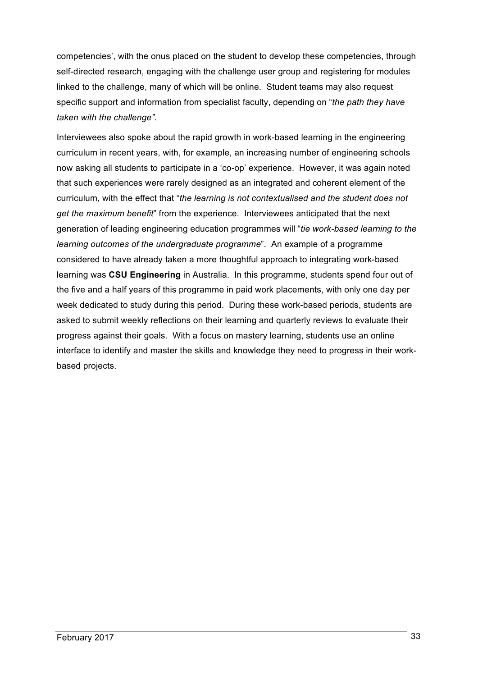competencies', with the onus placed on the student to develop these competencies, through self-directed research, engaging with the challenge user group and registering for modules linked to the challenge, many of which will be online. Student teams may also request specific support and information from specialist faculty, depending on "*the path they have taken with the challenge".*

Interviewees also spoke about the rapid growth in work-based learning in the engineering curriculum in recent years, with, for example, an increasing number of engineering schools now asking all students to participate in a 'co-op' experience. However, it was again noted that such experiences were rarely designed as an integrated and coherent element of the curriculum, with the effect that "*the learning is not contextualised and the student does not get the maximum benefit*" from the experience. Interviewees anticipated that the next generation of leading engineering education programmes will "*tie work-based learning to the learning outcomes of the undergraduate programme*". An example of a programme considered to have already taken a more thoughtful approach to integrating work-based learning was **CSU Engineering** in Australia. In this programme, students spend four out of the five and a half years of this programme in paid work placements, with only one day per week dedicated to study during this period. During these work-based periods, students are asked to submit weekly reflections on their learning and quarterly reviews to evaluate their progress against their goals. With a focus on mastery learning, students use an online interface to identify and master the skills and knowledge they need to progress in their workbased projects.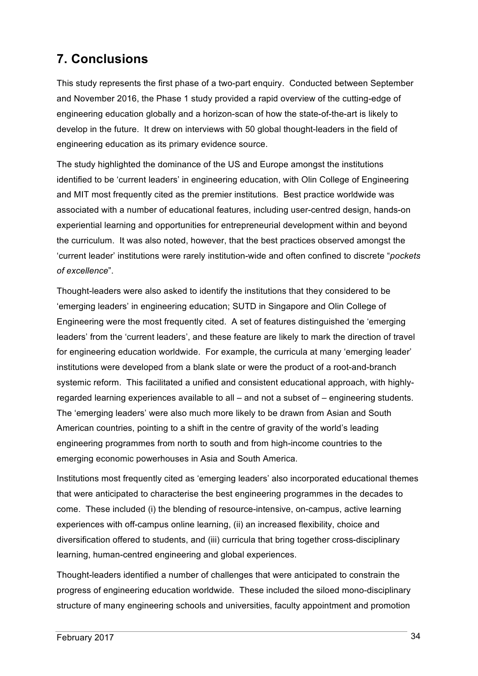# **7. Conclusions**

This study represents the first phase of a two-part enquiry. Conducted between September and November 2016, the Phase 1 study provided a rapid overview of the cutting-edge of engineering education globally and a horizon-scan of how the state-of-the-art is likely to develop in the future. It drew on interviews with 50 global thought-leaders in the field of engineering education as its primary evidence source.

The study highlighted the dominance of the US and Europe amongst the institutions identified to be 'current leaders' in engineering education, with Olin College of Engineering and MIT most frequently cited as the premier institutions. Best practice worldwide was associated with a number of educational features, including user-centred design, hands-on experiential learning and opportunities for entrepreneurial development within and beyond the curriculum. It was also noted, however, that the best practices observed amongst the 'current leader' institutions were rarely institution-wide and often confined to discrete "*pockets of excellence*".

Thought-leaders were also asked to identify the institutions that they considered to be 'emerging leaders' in engineering education; SUTD in Singapore and Olin College of Engineering were the most frequently cited. A set of features distinguished the 'emerging leaders' from the 'current leaders', and these feature are likely to mark the direction of travel for engineering education worldwide. For example, the curricula at many 'emerging leader' institutions were developed from a blank slate or were the product of a root-and-branch systemic reform. This facilitated a unified and consistent educational approach, with highlyregarded learning experiences available to all – and not a subset of – engineering students. The 'emerging leaders' were also much more likely to be drawn from Asian and South American countries, pointing to a shift in the centre of gravity of the world's leading engineering programmes from north to south and from high-income countries to the emerging economic powerhouses in Asia and South America.

Institutions most frequently cited as 'emerging leaders' also incorporated educational themes that were anticipated to characterise the best engineering programmes in the decades to come. These included (i) the blending of resource-intensive, on-campus, active learning experiences with off-campus online learning, (ii) an increased flexibility, choice and diversification offered to students, and (iii) curricula that bring together cross-disciplinary learning, human-centred engineering and global experiences.

Thought-leaders identified a number of challenges that were anticipated to constrain the progress of engineering education worldwide. These included the siloed mono-disciplinary structure of many engineering schools and universities, faculty appointment and promotion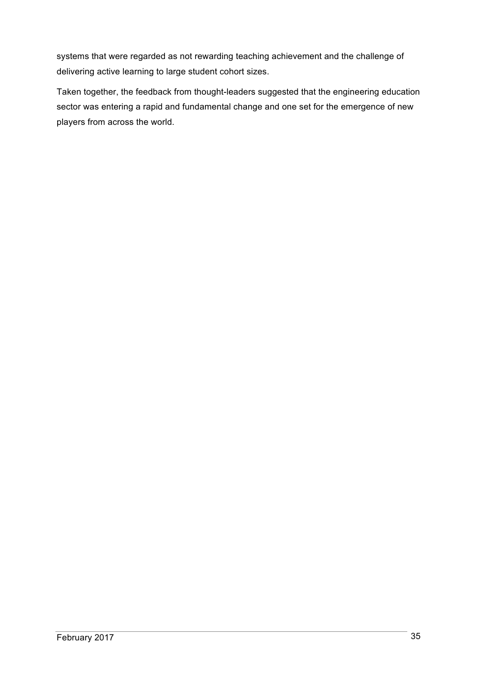systems that were regarded as not rewarding teaching achievement and the challenge of delivering active learning to large student cohort sizes.

Taken together, the feedback from thought-leaders suggested that the engineering education sector was entering a rapid and fundamental change and one set for the emergence of new players from across the world.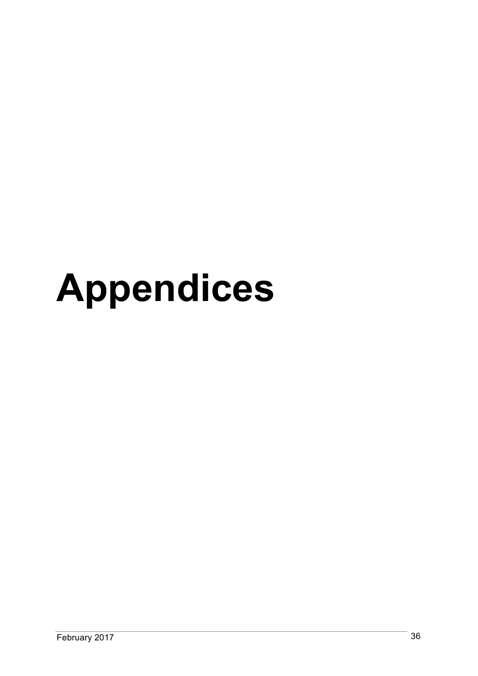# **Appendices**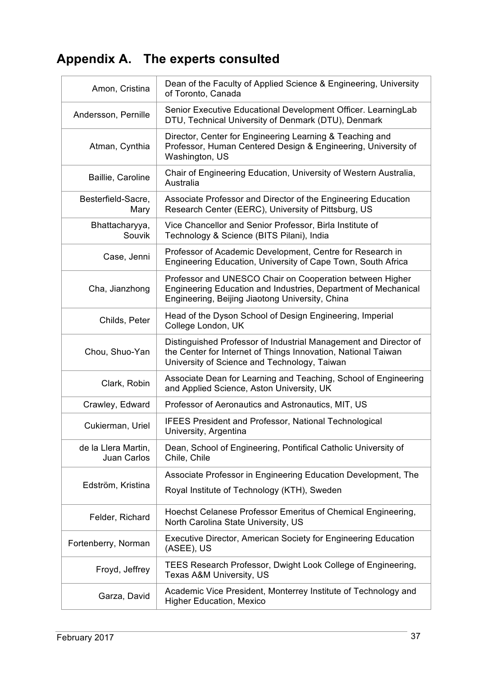# **Appendix A. The experts consulted**

| Amon, Cristina                            | Dean of the Faculty of Applied Science & Engineering, University<br>of Toronto, Canada                                                                                            |
|-------------------------------------------|-----------------------------------------------------------------------------------------------------------------------------------------------------------------------------------|
| Andersson, Pernille                       | Senior Executive Educational Development Officer. LearningLab<br>DTU, Technical University of Denmark (DTU), Denmark                                                              |
| Atman, Cynthia                            | Director, Center for Engineering Learning & Teaching and<br>Professor, Human Centered Design & Engineering, University of<br>Washington, US                                       |
| Baillie, Caroline                         | Chair of Engineering Education, University of Western Australia,<br>Australia                                                                                                     |
| Besterfield-Sacre,<br>Mary                | Associate Professor and Director of the Engineering Education<br>Research Center (EERC), University of Pittsburg, US                                                              |
| Bhattacharyya,<br>Souvik                  | Vice Chancellor and Senior Professor, Birla Institute of<br>Technology & Science (BITS Pilani), India                                                                             |
| Case, Jenni                               | Professor of Academic Development, Centre for Research in<br>Engineering Education, University of Cape Town, South Africa                                                         |
| Cha, Jianzhong                            | Professor and UNESCO Chair on Cooperation between Higher<br>Engineering Education and Industries, Department of Mechanical<br>Engineering, Beijing Jiaotong University, China     |
| Childs, Peter                             | Head of the Dyson School of Design Engineering, Imperial<br>College London, UK                                                                                                    |
| Chou, Shuo-Yan                            | Distinguished Professor of Industrial Management and Director of<br>the Center for Internet of Things Innovation, National Taiwan<br>University of Science and Technology, Taiwan |
| Clark, Robin                              | Associate Dean for Learning and Teaching, School of Engineering<br>and Applied Science, Aston University, UK                                                                      |
| Crawley, Edward                           | Professor of Aeronautics and Astronautics, MIT, US                                                                                                                                |
| Cukierman, Uriel                          | <b>IFEES President and Professor, National Technological</b><br>University, Argentina                                                                                             |
| de la Llera Martin,<br><b>Juan Carlos</b> | Dean, School of Engineering, Pontifical Catholic University of<br>Chile, Chile                                                                                                    |
|                                           | Associate Professor in Engineering Education Development, The                                                                                                                     |
| Edström, Kristina                         | Royal Institute of Technology (KTH), Sweden                                                                                                                                       |
| Felder, Richard                           | Hoechst Celanese Professor Emeritus of Chemical Engineering,<br>North Carolina State University, US                                                                               |
| Fortenberry, Norman                       | <b>Executive Director, American Society for Engineering Education</b><br>(ASEE), US                                                                                               |
| Froyd, Jeffrey                            | TEES Research Professor, Dwight Look College of Engineering,<br>Texas A&M University, US                                                                                          |
| Garza, David                              | Academic Vice President, Monterrey Institute of Technology and<br><b>Higher Education, Mexico</b>                                                                                 |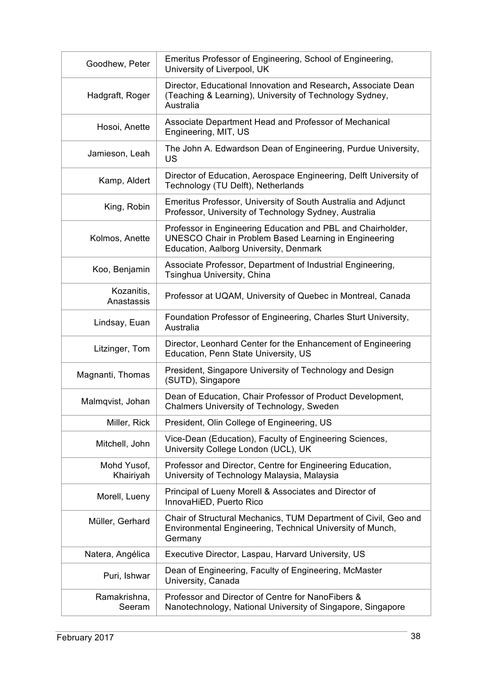| Goodhew, Peter           | Emeritus Professor of Engineering, School of Engineering,<br>University of Liverpool, UK                                                                              |
|--------------------------|-----------------------------------------------------------------------------------------------------------------------------------------------------------------------|
| Hadgraft, Roger          | Director, Educational Innovation and Research, Associate Dean<br>(Teaching & Learning), University of Technology Sydney,<br>Australia                                 |
| Hosoi, Anette            | Associate Department Head and Professor of Mechanical<br>Engineering, MIT, US                                                                                         |
| Jamieson, Leah           | The John A. Edwardson Dean of Engineering, Purdue University,<br>US                                                                                                   |
| Kamp, Aldert             | Director of Education, Aerospace Engineering, Delft University of<br>Technology (TU Delft), Netherlands                                                               |
| King, Robin              | Emeritus Professor, University of South Australia and Adjunct<br>Professor, University of Technology Sydney, Australia                                                |
| Kolmos, Anette           | Professor in Engineering Education and PBL and Chairholder,<br><b>UNESCO Chair in Problem Based Learning in Engineering</b><br>Education, Aalborg University, Denmark |
| Koo, Benjamin            | Associate Professor, Department of Industrial Engineering,<br>Tsinghua University, China                                                                              |
| Kozanitis,<br>Anastassis | Professor at UQAM, University of Quebec in Montreal, Canada                                                                                                           |
| Lindsay, Euan            | Foundation Professor of Engineering, Charles Sturt University,<br>Australia                                                                                           |
| Litzinger, Tom           | Director, Leonhard Center for the Enhancement of Engineering<br>Education, Penn State University, US                                                                  |
| Magnanti, Thomas         | President, Singapore University of Technology and Design<br>(SUTD), Singapore                                                                                         |
| Malmqvist, Johan         | Dean of Education, Chair Professor of Product Development,<br>Chalmers University of Technology, Sweden                                                               |
| Miller, Rick             | President, Olin College of Engineering, US                                                                                                                            |
| Mitchell, John           | Vice-Dean (Education), Faculty of Engineering Sciences,<br>University College London (UCL), UK                                                                        |
| Mohd Yusof,<br>Khairiyah | Professor and Director, Centre for Engineering Education,<br>University of Technology Malaysia, Malaysia                                                              |
| Morell, Lueny            | Principal of Lueny Morell & Associates and Director of<br>InnovaHiED, Puerto Rico                                                                                     |
| Müller, Gerhard          | Chair of Structural Mechanics, TUM Department of Civil, Geo and<br>Environmental Engineering, Technical University of Munch,<br>Germany                               |
| Natera, Angélica         | Executive Director, Laspau, Harvard University, US                                                                                                                    |
| Puri, Ishwar             | Dean of Engineering, Faculty of Engineering, McMaster<br>University, Canada                                                                                           |
| Ramakrishna,<br>Seeram   | Professor and Director of Centre for NanoFibers &<br>Nanotechnology, National University of Singapore, Singapore                                                      |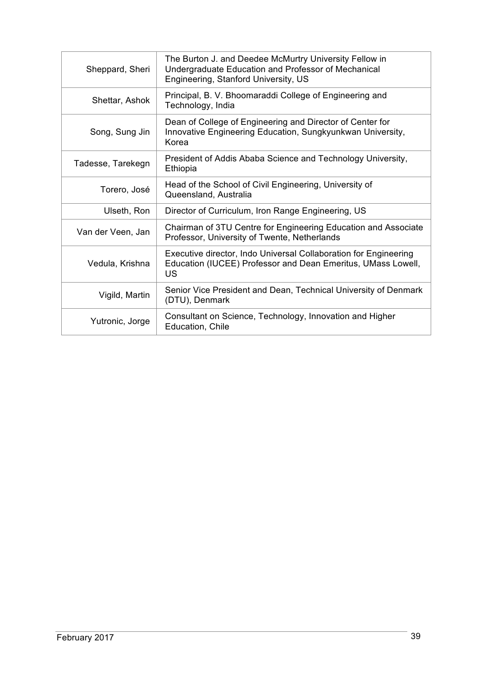| Sheppard, Sheri   | The Burton J. and Deedee McMurtry University Fellow in<br>Undergraduate Education and Professor of Mechanical<br>Engineering, Stanford University, US |
|-------------------|-------------------------------------------------------------------------------------------------------------------------------------------------------|
| Shettar, Ashok    | Principal, B. V. Bhoomaraddi College of Engineering and<br>Technology, India                                                                          |
| Song, Sung Jin    | Dean of College of Engineering and Director of Center for<br>Innovative Engineering Education, Sungkyunkwan University,<br>Korea                      |
| Tadesse, Tarekegn | President of Addis Ababa Science and Technology University,<br>Ethiopia                                                                               |
| Torero, José      | Head of the School of Civil Engineering, University of<br>Queensland, Australia                                                                       |
| Ulseth, Ron       | Director of Curriculum, Iron Range Engineering, US                                                                                                    |
| Van der Veen, Jan | Chairman of 3TU Centre for Engineering Education and Associate<br>Professor, University of Twente, Netherlands                                        |
| Vedula, Krishna   | Executive director, Indo Universal Collaboration for Engineering<br>Education (IUCEE) Professor and Dean Emeritus, UMass Lowell,<br>US                |
| Vigild, Martin    | Senior Vice President and Dean, Technical University of Denmark<br>(DTU), Denmark                                                                     |
| Yutronic, Jorge   | Consultant on Science, Technology, Innovation and Higher<br>Education, Chile                                                                          |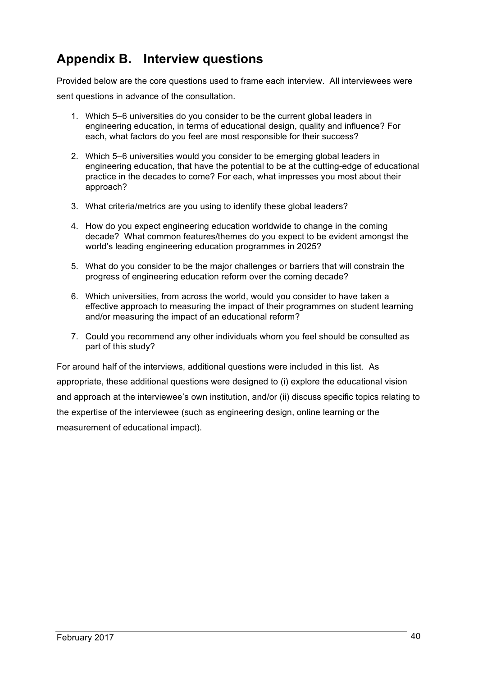# **Appendix B. Interview questions**

Provided below are the core questions used to frame each interview. All interviewees were sent questions in advance of the consultation.

- 1. Which 5–6 universities do you consider to be the current global leaders in engineering education, in terms of educational design, quality and influence? For each, what factors do you feel are most responsible for their success?
- 2. Which 5–6 universities would you consider to be emerging global leaders in engineering education, that have the potential to be at the cutting-edge of educational practice in the decades to come? For each, what impresses you most about their approach?
- 3. What criteria/metrics are you using to identify these global leaders?
- 4. How do you expect engineering education worldwide to change in the coming decade? What common features/themes do you expect to be evident amongst the world's leading engineering education programmes in 2025?
- 5. What do you consider to be the major challenges or barriers that will constrain the progress of engineering education reform over the coming decade?
- 6. Which universities, from across the world, would you consider to have taken a effective approach to measuring the impact of their programmes on student learning and/or measuring the impact of an educational reform?
- 7. Could you recommend any other individuals whom you feel should be consulted as part of this study?

For around half of the interviews, additional questions were included in this list. As appropriate, these additional questions were designed to (i) explore the educational vision and approach at the interviewee's own institution, and/or (ii) discuss specific topics relating to the expertise of the interviewee (such as engineering design, online learning or the measurement of educational impact).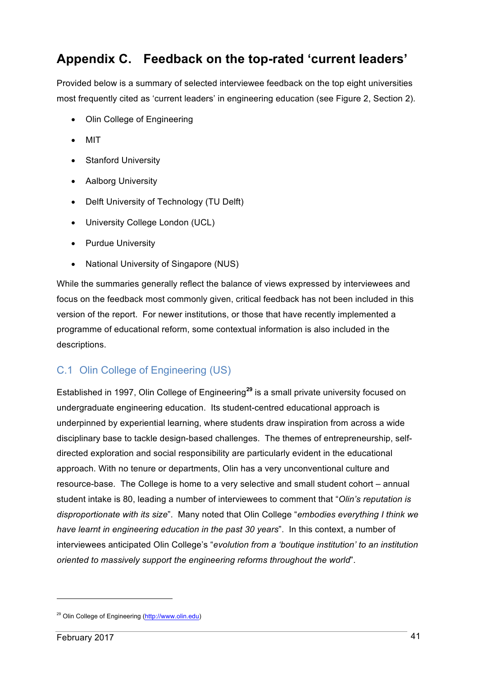# **Appendix C. Feedback on the top-rated 'current leaders'**

Provided below is a summary of selected interviewee feedback on the top eight universities most frequently cited as 'current leaders' in engineering education (see Figure 2, Section 2).

- Olin College of Engineering
- MIT
- Stanford University
- Aalborg University
- Delft University of Technology (TU Delft)
- University College London (UCL)
- Purdue University
- National University of Singapore (NUS)

While the summaries generally reflect the balance of views expressed by interviewees and focus on the feedback most commonly given, critical feedback has not been included in this version of the report. For newer institutions, or those that have recently implemented a programme of educational reform, some contextual information is also included in the descriptions.

## C.1 Olin College of Engineering (US)

Established in 1997, Olin College of Engineering**<sup>29</sup>** is a small private university focused on undergraduate engineering education. Its student-centred educational approach is underpinned by experiential learning, where students draw inspiration from across a wide disciplinary base to tackle design-based challenges. The themes of entrepreneurship, selfdirected exploration and social responsibility are particularly evident in the educational approach. With no tenure or departments, Olin has a very unconventional culture and resource-base. The College is home to a very selective and small student cohort – annual student intake is 80, leading a number of interviewees to comment that "*Olin's reputation is disproportionate with its size*". Many noted that Olin College "*embodies everything I think we have learnt in engineering education in the past 30 years*". In this context, a number of interviewees anticipated Olin College's "*evolution from a 'boutique institution' to an institution oriented to massively support the engineering reforms throughout the world*".

<sup>29</sup> Olin College of Engineering (http://www.olin.edu)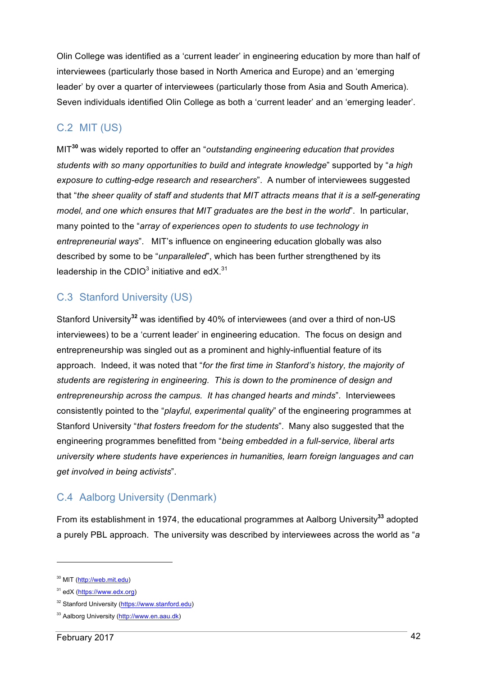Olin College was identified as a 'current leader' in engineering education by more than half of interviewees (particularly those based in North America and Europe) and an 'emerging leader' by over a quarter of interviewees (particularly those from Asia and South America). Seven individuals identified Olin College as both a 'current leader' and an 'emerging leader'.

#### C.2 MIT (US)

MIT**<sup>30</sup>** was widely reported to offer an "*outstanding engineering education that provides students with so many opportunities to build and integrate knowledge*" supported by "*a high exposure to cutting-edge research and researchers*". A number of interviewees suggested that "*the sheer quality of staff and students that MIT attracts means that it is a self-generating model, and one which ensures that MIT graduates are the best in the world*". In particular, many pointed to the "*array of experiences open to students to use technology in entrepreneurial ways*". MIT's influence on engineering education globally was also described by some to be "*unparalleled*", which has been further strengthened by its leadership in the CDIO<sup>3</sup> initiative and edX.<sup>31</sup>

## C.3 Stanford University (US)

Stanford University**<sup>32</sup>** was identified by 40% of interviewees (and over a third of non-US interviewees) to be a 'current leader' in engineering education. The focus on design and entrepreneurship was singled out as a prominent and highly-influential feature of its approach. Indeed, it was noted that "*for the first time in Stanford's history, the majority of students are registering in engineering. This is down to the prominence of design and entrepreneurship across the campus. It has changed hearts and minds*". Interviewees consistently pointed to the "*playful, experimental quality*" of the engineering programmes at Stanford University "*that fosters freedom for the students*". Many also suggested that the engineering programmes benefitted from "*being embedded in a full-service, liberal arts university where students have experiences in humanities, learn foreign languages and can get involved in being activists*".

## C.4 Aalborg University (Denmark)

From its establishment in 1974, the educational programmes at Aalborg University**<sup>33</sup>** adopted a purely PBL approach. The university was described by interviewees across the world as "*a* 

<sup>30</sup> MIT (http://web.mit.edu)

<sup>&</sup>lt;sup>31</sup> edX (https://www.edx.org)

<sup>32</sup> Stanford University (https://www.stanford.edu)

<sup>&</sup>lt;sup>33</sup> Aalborg University (http://www.en.aau.dk)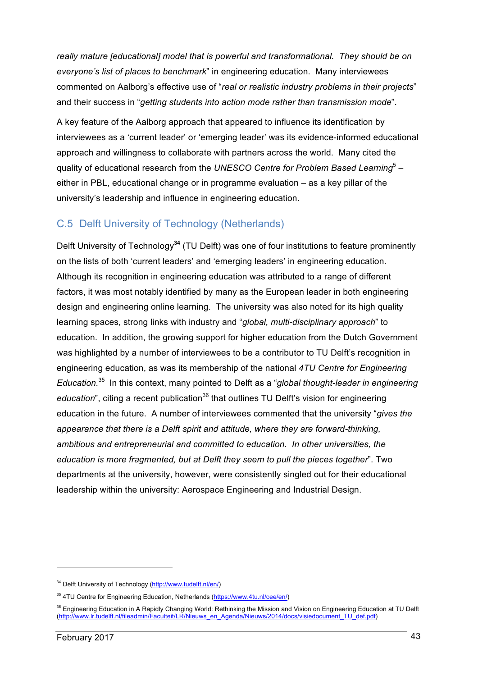*really mature [educational] model that is powerful and transformational. They should be on everyone's list of places to benchmark*" in engineering education. Many interviewees commented on Aalborg's effective use of "*real or realistic industry problems in their projects*" and their success in "*getting students into action mode rather than transmission mode*".

A key feature of the Aalborg approach that appeared to influence its identification by interviewees as a 'current leader' or 'emerging leader' was its evidence-informed educational approach and willingness to collaborate with partners across the world. Many cited the quality of educational research from the *UNESCO Centre for Problem Based Learning*<sup>5</sup> – either in PBL, educational change or in programme evaluation – as a key pillar of the university's leadership and influence in engineering education.

#### C.5 Delft University of Technology (Netherlands)

Delft University of Technology**<sup>34</sup>** (TU Delft) was one of four institutions to feature prominently on the lists of both 'current leaders' and 'emerging leaders' in engineering education. Although its recognition in engineering education was attributed to a range of different factors, it was most notably identified by many as the European leader in both engineering design and engineering online learning. The university was also noted for its high quality learning spaces, strong links with industry and "*global, multi-disciplinary approach*" to education. In addition, the growing support for higher education from the Dutch Government was highlighted by a number of interviewees to be a contributor to TU Delft's recognition in engineering education, as was its membership of the national *4TU Centre for Engineering Education.* 35 In this context, many pointed to Delft as a "*global thought-leader in engineering*  education<sup>"</sup>, citing a recent publication<sup>36</sup> that outlines TU Delft's vision for engineering education in the future. A number of interviewees commented that the university "*gives the appearance that there is a Delft spirit and attitude, where they are forward-thinking, ambitious and entrepreneurial and committed to education. In other universities, the education is more fragmented, but at Delft they seem to pull the pieces together*". Two departments at the university, however, were consistently singled out for their educational leadership within the university: Aerospace Engineering and Industrial Design.

<sup>34</sup> Delft University of Technology (http://www.tudelft.nl/en/)

<sup>35</sup> 4TU Centre for Engineering Education, Netherlands (https://www.4tu.nl/cee/en/)

<sup>&</sup>lt;sup>36</sup> Engineering Education in A Rapidly Changing World: Rethinking the Mission and Vision on Engineering Education at TU Delft (http://www.lr.tudelft.nl/fileadmin/Faculteit/LR/Nieuws\_en\_Agenda/Nieuws/2014/docs/visiedocument\_TU\_def.pdf)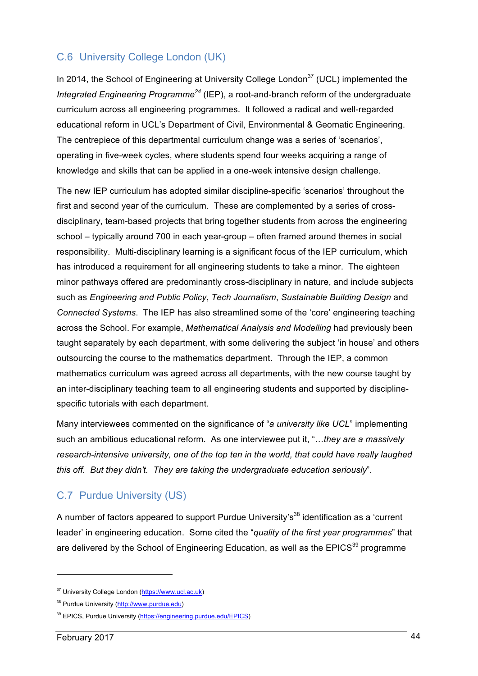#### C.6 University College London (UK)

In 2014, the School of Engineering at University College London<sup>37</sup> (UCL) implemented the *Integrated Engineering Programme<sup>24</sup>* (IEP), a root-and-branch reform of the undergraduate curriculum across all engineering programmes. It followed a radical and well-regarded educational reform in UCL's Department of Civil, Environmental & Geomatic Engineering. The centrepiece of this departmental curriculum change was a series of 'scenarios', operating in five-week cycles, where students spend four weeks acquiring a range of knowledge and skills that can be applied in a one-week intensive design challenge.

The new IEP curriculum has adopted similar discipline-specific 'scenarios' throughout the first and second year of the curriculum. These are complemented by a series of crossdisciplinary, team-based projects that bring together students from across the engineering school – typically around 700 in each year-group – often framed around themes in social responsibility. Multi-disciplinary learning is a significant focus of the IEP curriculum, which has introduced a requirement for all engineering students to take a minor. The eighteen minor pathways offered are predominantly cross-disciplinary in nature, and include subjects such as *Engineering and Public Policy*, *Tech Journalism*, *Sustainable Building Design* and *Connected Systems*. The IEP has also streamlined some of the 'core' engineering teaching across the School. For example, *Mathematical Analysis and Modelling* had previously been taught separately by each department, with some delivering the subject 'in house' and others outsourcing the course to the mathematics department. Through the IEP, a common mathematics curriculum was agreed across all departments, with the new course taught by an inter-disciplinary teaching team to all engineering students and supported by disciplinespecific tutorials with each department.

Many interviewees commented on the significance of "*a university like UCL*" implementing such an ambitious educational reform. As one interviewee put it, "…*they are a massively research-intensive university, one of the top ten in the world, that could have really laughed this off. But they didn't. They are taking the undergraduate education seriously*".

#### C.7 Purdue University (US)

A number of factors appeared to support Purdue University's<sup>38</sup> identification as a 'current leader' in engineering education. Some cited the "*quality of the first year programmes*" that are delivered by the School of Engineering Education, as well as the EPICS<sup>39</sup> programme

<sup>37</sup> University College London (https://www.ucl.ac.uk)

<sup>38</sup> Purdue University (http://www.purdue.edu)

<sup>39</sup> EPICS, Purdue University (https://engineering.purdue.edu/EPICS)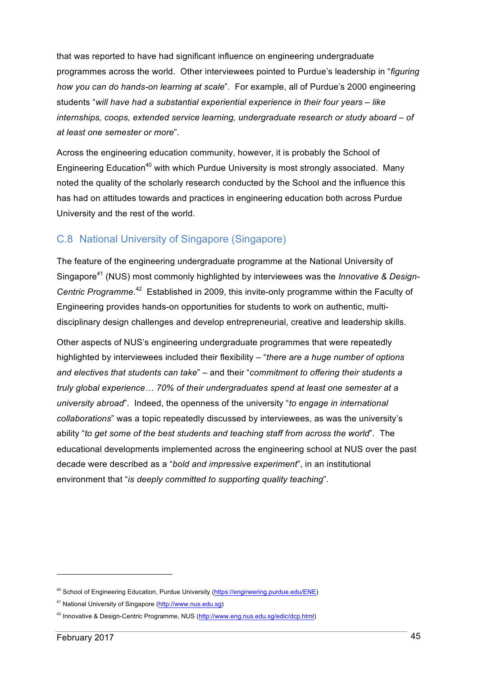that was reported to have had significant influence on engineering undergraduate programmes across the world. Other interviewees pointed to Purdue's leadership in "*figuring how you can do hands-on learning at scale*". For example, all of Purdue's 2000 engineering students "*will have had a substantial experiential experience in their four years – like internships, coops, extended service learning, undergraduate research or study aboard – of at least one semester or more*".

Across the engineering education community, however, it is probably the School of Engineering Education<sup>40</sup> with which Purdue University is most strongly associated. Many noted the quality of the scholarly research conducted by the School and the influence this has had on attitudes towards and practices in engineering education both across Purdue University and the rest of the world.

#### C.8 National University of Singapore (Singapore)

The feature of the engineering undergraduate programme at the National University of Singapore<sup>41</sup> (NUS) most commonly highlighted by interviewees was the *Innovative & Design-Centric Programme*. 42 Established in 2009, this invite-only programme within the Faculty of Engineering provides hands-on opportunities for students to work on authentic, multidisciplinary design challenges and develop entrepreneurial, creative and leadership skills.

Other aspects of NUS's engineering undergraduate programmes that were repeatedly highlighted by interviewees included their flexibility – "*there are a huge number of options and electives that students can take*" – and their "*commitment to offering their students a truly global experience… 70% of their undergraduates spend at least one semester at a university abroad*". Indeed, the openness of the university "*to engage in international collaborations*" was a topic repeatedly discussed by interviewees, as was the university's ability "*to get some of the best students and teaching staff from across the world*". The educational developments implemented across the engineering school at NUS over the past decade were described as a "*bold and impressive experiment*", in an institutional environment that "*is deeply committed to supporting quality teaching*".

<sup>&</sup>lt;sup>40</sup> School of Engineering Education, Purdue University (https://engineering.purdue.edu/ENE)

<sup>41</sup> National University of Singapore (http://www.nus.edu.sg)

<sup>&</sup>lt;sup>42</sup> Innovative & Design-Centric Programme, NUS (http://www.eng.nus.edu.sg/edic/dcp.html)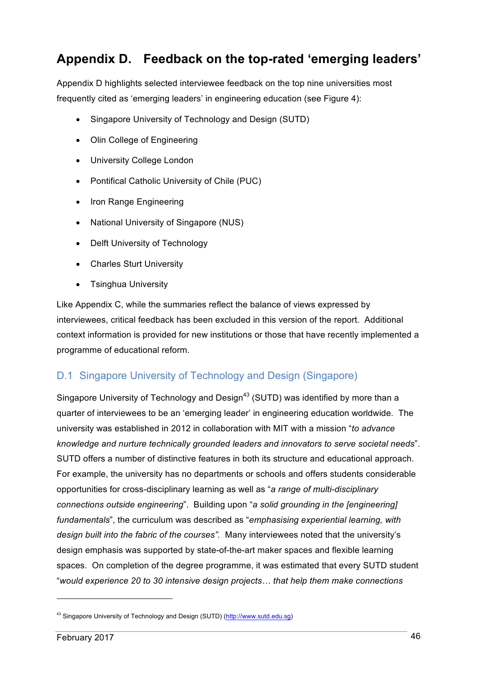# **Appendix D. Feedback on the top-rated 'emerging leaders'**

Appendix D highlights selected interviewee feedback on the top nine universities most frequently cited as 'emerging leaders' in engineering education (see Figure 4):

- Singapore University of Technology and Design (SUTD)
- Olin College of Engineering
- University College London
- Pontifical Catholic University of Chile (PUC)
- Iron Range Engineering
- National University of Singapore (NUS)
- Delft University of Technology
- Charles Sturt University
- Tsinghua University

Like Appendix C, while the summaries reflect the balance of views expressed by interviewees, critical feedback has been excluded in this version of the report. Additional context information is provided for new institutions or those that have recently implemented a programme of educational reform.

## D.1 Singapore University of Technology and Design (Singapore)

Singapore University of Technology and Design<sup>43</sup> (SUTD) was identified by more than a quarter of interviewees to be an 'emerging leader' in engineering education worldwide. The university was established in 2012 in collaboration with MIT with a mission "*to advance knowledge and nurture technically grounded leaders and innovators to serve societal needs*". SUTD offers a number of distinctive features in both its structure and educational approach. For example, the university has no departments or schools and offers students considerable opportunities for cross-disciplinary learning as well as "*a range of multi-disciplinary connections outside engineering*". Building upon "*a solid grounding in the [engineering] fundamentals*", the curriculum was described as "*emphasising experiential learning, with design built into the fabric of the courses".* Many interviewees noted that the university's design emphasis was supported by state-of-the-art maker spaces and flexible learning spaces. On completion of the degree programme, it was estimated that every SUTD student "*would experience 20 to 30 intensive design projects… that help them make connections* 

<sup>&</sup>lt;sup>43</sup> Singapore University of Technology and Design (SUTD) (http://www.sutd.edu.sg)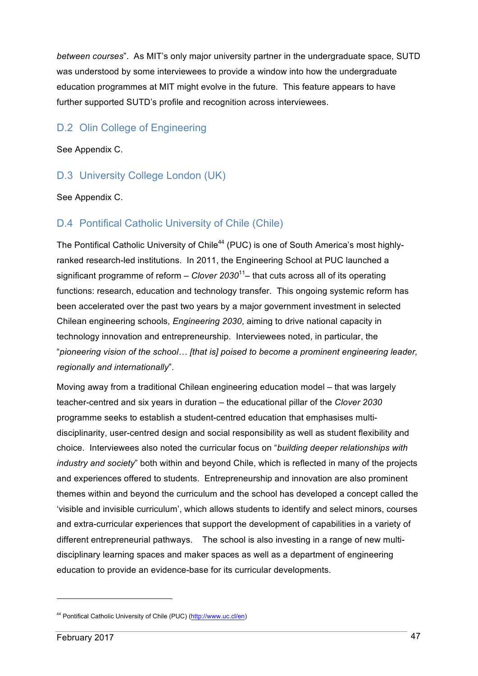*between courses*". As MIT's only major university partner in the undergraduate space, SUTD was understood by some interviewees to provide a window into how the undergraduate education programmes at MIT might evolve in the future. This feature appears to have further supported SUTD's profile and recognition across interviewees.

#### D.2 Olin College of Engineering

See Appendix C.

#### D.3 University College London (UK)

See Appendix C.

#### D.4 Pontifical Catholic University of Chile (Chile)

The Pontifical Catholic University of Chile<sup>44</sup> (PUC) is one of South America's most highlyranked research-led institutions. In 2011, the Engineering School at PUC launched a significant programme of reform – *Clover 2030*11– that cuts across all of its operating functions: research, education and technology transfer. This ongoing systemic reform has been accelerated over the past two years by a major government investment in selected Chilean engineering schools, *Engineering 2030*, aiming to drive national capacity in technology innovation and entrepreneurship. Interviewees noted, in particular, the "*pioneering vision of the school… [that is] poised to become a prominent engineering leader, regionally and internationally*".

Moving away from a traditional Chilean engineering education model – that was largely teacher-centred and six years in duration – the educational pillar of the *Clover 2030* programme seeks to establish a student-centred education that emphasises multidisciplinarity, user-centred design and social responsibility as well as student flexibility and choice. Interviewees also noted the curricular focus on "*building deeper relationships with industry and society*" both within and beyond Chile, which is reflected in many of the projects and experiences offered to students. Entrepreneurship and innovation are also prominent themes within and beyond the curriculum and the school has developed a concept called the 'visible and invisible curriculum', which allows students to identify and select minors, courses and extra-curricular experiences that support the development of capabilities in a variety of different entrepreneurial pathways. The school is also investing in a range of new multidisciplinary learning spaces and maker spaces as well as a department of engineering education to provide an evidence-base for its curricular developments.

<sup>44</sup> Pontifical Catholic University of Chile (PUC) (http://www.uc.cl/en)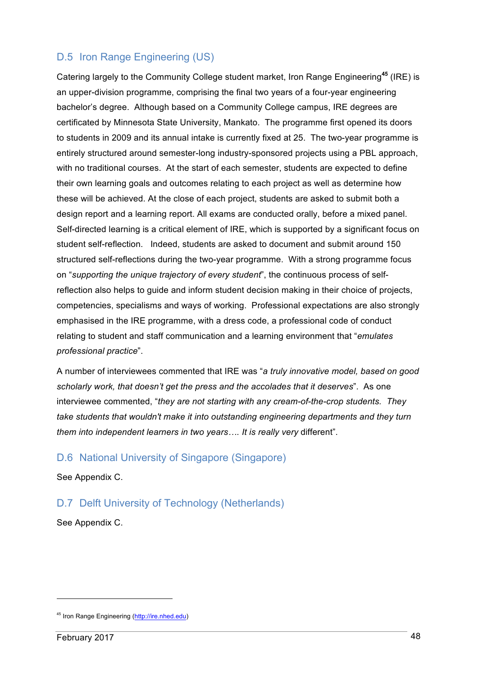#### D.5 Iron Range Engineering (US)

Catering largely to the Community College student market, Iron Range Engineering**<sup>45</sup>** (IRE) is an upper-division programme, comprising the final two years of a four-year engineering bachelor's degree. Although based on a Community College campus, IRE degrees are certificated by Minnesota State University, Mankato. The programme first opened its doors to students in 2009 and its annual intake is currently fixed at 25. The two-year programme is entirely structured around semester-long industry-sponsored projects using a PBL approach, with no traditional courses. At the start of each semester, students are expected to define their own learning goals and outcomes relating to each project as well as determine how these will be achieved. At the close of each project, students are asked to submit both a design report and a learning report. All exams are conducted orally, before a mixed panel. Self-directed learning is a critical element of IRE, which is supported by a significant focus on student self-reflection. Indeed, students are asked to document and submit around 150 structured self-reflections during the two-year programme. With a strong programme focus on "*supporting the unique trajectory of every student*", the continuous process of selfreflection also helps to guide and inform student decision making in their choice of projects, competencies, specialisms and ways of working. Professional expectations are also strongly emphasised in the IRE programme, with a dress code, a professional code of conduct relating to student and staff communication and a learning environment that "*emulates professional practice*".

A number of interviewees commented that IRE was "*a truly innovative model, based on good scholarly work, that doesn't get the press and the accolades that it deserves*". As one interviewee commented, "*they are not starting with any cream-of-the-crop students. They take students that wouldn't make it into outstanding engineering departments and they turn them into independent learners in two years…. It is really very* different".

#### D.6 National University of Singapore (Singapore)

See Appendix C.

#### D.7 Delft University of Technology (Netherlands)

See Appendix C.

<sup>45</sup> Iron Range Engineering (http://ire.nhed.edu)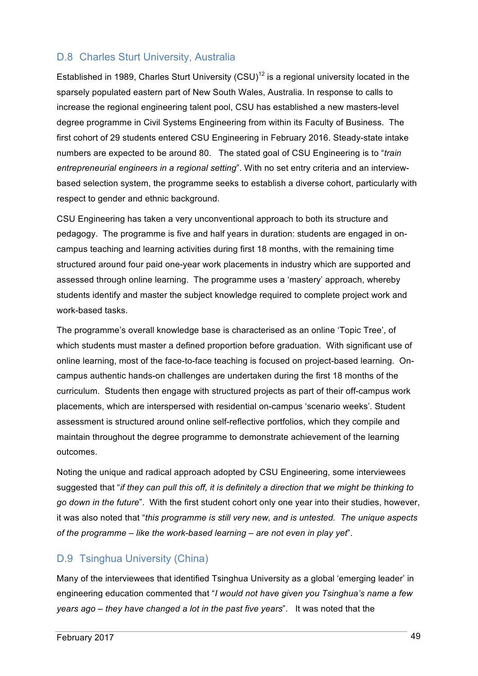#### D.8 Charles Sturt University, Australia

Established in 1989, Charles Sturt University (CSU)<sup>12</sup> is a regional university located in the sparsely populated eastern part of New South Wales, Australia. In response to calls to increase the regional engineering talent pool, CSU has established a new masters-level degree programme in Civil Systems Engineering from within its Faculty of Business. The first cohort of 29 students entered CSU Engineering in February 2016. Steady-state intake numbers are expected to be around 80. The stated goal of CSU Engineering is to "*train entrepreneurial engineers in a regional setting*". With no set entry criteria and an interviewbased selection system, the programme seeks to establish a diverse cohort, particularly with respect to gender and ethnic background.

CSU Engineering has taken a very unconventional approach to both its structure and pedagogy. The programme is five and half years in duration: students are engaged in oncampus teaching and learning activities during first 18 months, with the remaining time structured around four paid one-year work placements in industry which are supported and assessed through online learning. The programme uses a 'mastery' approach, whereby students identify and master the subject knowledge required to complete project work and work-based tasks.

The programme's overall knowledge base is characterised as an online 'Topic Tree', of which students must master a defined proportion before graduation. With significant use of online learning, most of the face-to-face teaching is focused on project-based learning. Oncampus authentic hands-on challenges are undertaken during the first 18 months of the curriculum. Students then engage with structured projects as part of their off-campus work placements, which are interspersed with residential on-campus 'scenario weeks'. Student assessment is structured around online self-reflective portfolios, which they compile and maintain throughout the degree programme to demonstrate achievement of the learning outcomes.

Noting the unique and radical approach adopted by CSU Engineering, some interviewees suggested that "*if they can pull this off, it is definitely a direction that we might be thinking to go down in the future*". With the first student cohort only one year into their studies, however, it was also noted that "*this programme is still very new, and is untested. The unique aspects of the programme – like the work-based learning – are not even in play yet*".

#### D.9 Tsinghua University (China)

Many of the interviewees that identified Tsinghua University as a global 'emerging leader' in engineering education commented that "*I would not have given you Tsinghua's name a few years ago – they have changed a lot in the past five years*". It was noted that the